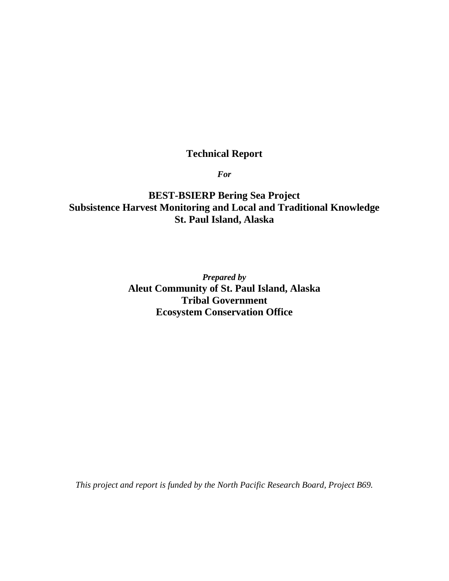# **Technical Report**

*For*

**BEST-BSIERP Bering Sea Project Subsistence Harvest Monitoring and Local and Traditional Knowledge St. Paul Island, Alaska**

> *Prepared by* **Aleut Community of St. Paul Island, Alaska Tribal Government Ecosystem Conservation Office**

*This project and report is funded by the North Pacific Research Board, Project B69.*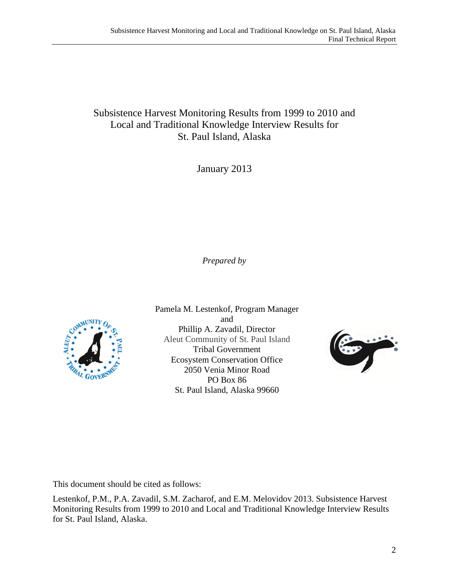# Subsistence Harvest Monitoring Results from 1999 to 2010 and Local and Traditional Knowledge Interview Results for St. Paul Island, Alaska

January 2013

*Prepared by*



Pamela M. Lestenkof, Program Manager and Phillip A. Zavadil, Director Aleut Community of St. Paul Island Tribal Government Ecosystem Conservation Office 2050 Venia Minor Road PO Box 86 St. Paul Island, Alaska 99660



This document should be cited as follows:

Lestenkof, P.M., P.A. Zavadil, S.M. Zacharof, and E.M. Melovidov 2013. Subsistence Harvest Monitoring Results from 1999 to 2010 and Local and Traditional Knowledge Interview Results for St. Paul Island, Alaska.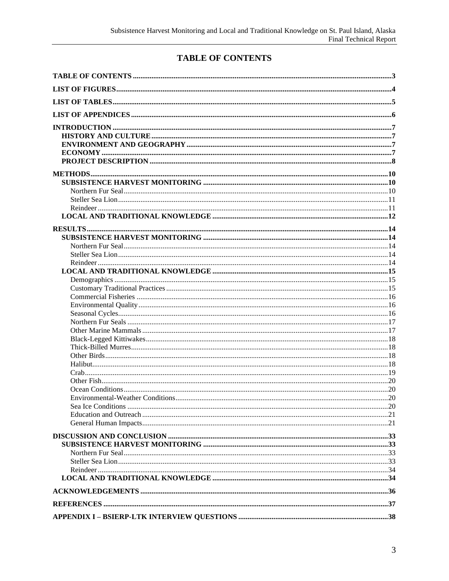# TABLE OF CONTENTS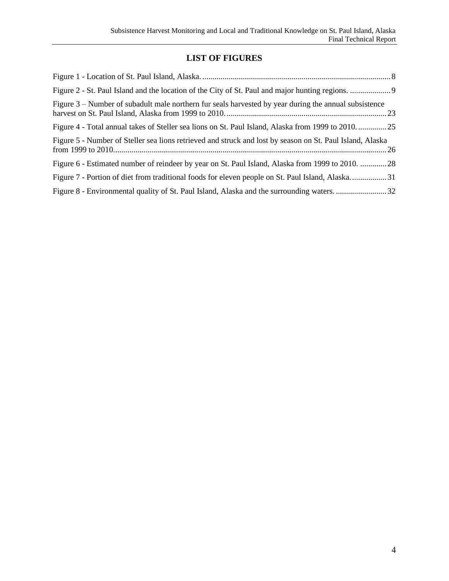# **LIST OF FIGURES**

| Figure 3 – Number of subadult male northern fur seals harvested by year during the annual subsistence     |  |
|-----------------------------------------------------------------------------------------------------------|--|
| Figure 4 - Total annual takes of Steller sea lions on St. Paul Island, Alaska from 1999 to 201025         |  |
| Figure 5 - Number of Steller sea lions retrieved and struck and lost by season on St. Paul Island, Alaska |  |
| Figure 6 - Estimated number of reindeer by year on St. Paul Island, Alaska from 1999 to 2010. 28          |  |
| Figure 7 - Portion of diet from traditional foods for eleven people on St. Paul Island, Alaska31          |  |
|                                                                                                           |  |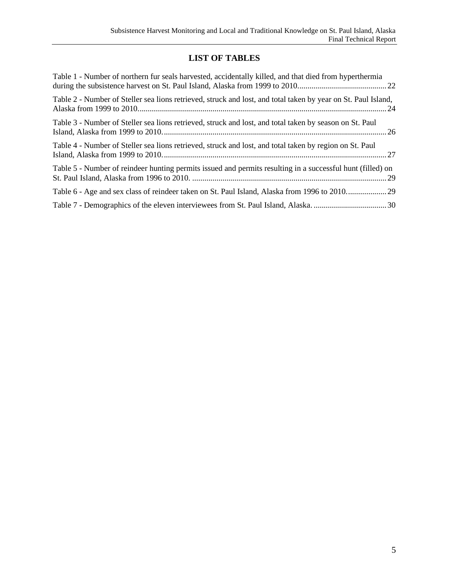# **LIST OF TABLES**

| Table 1 - Number of northern fur seals harvested, accidentally killed, and that died from hyperthermia        |
|---------------------------------------------------------------------------------------------------------------|
| Table 2 - Number of Steller sea lions retrieved, struck and lost, and total taken by year on St. Paul Island, |
| Table 3 - Number of Steller sea lions retrieved, struck and lost, and total taken by season on St. Paul       |
| Table 4 - Number of Steller sea lions retrieved, struck and lost, and total taken by region on St. Paul       |
| Table 5 - Number of reindeer hunting permits issued and permits resulting in a successful hunt (filled) on    |
|                                                                                                               |
|                                                                                                               |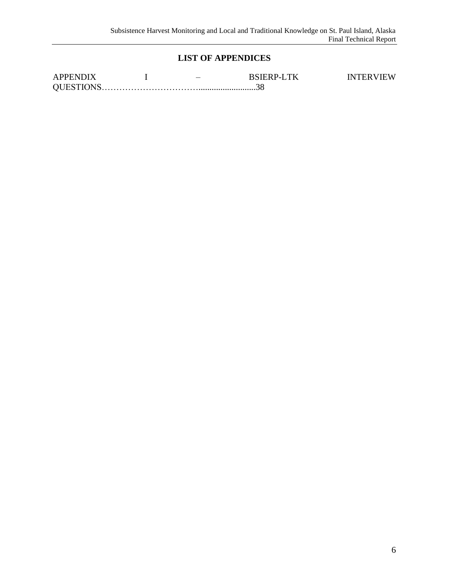# **LIST OF APPENDICES**

| <b>APPENDIX</b>  | $\overline{\phantom{a}}$ | <b>BSIERP-LTK</b> | <b>INTERVIEW</b> |
|------------------|--------------------------|-------------------|------------------|
| <b>OUESTIONS</b> |                          |                   |                  |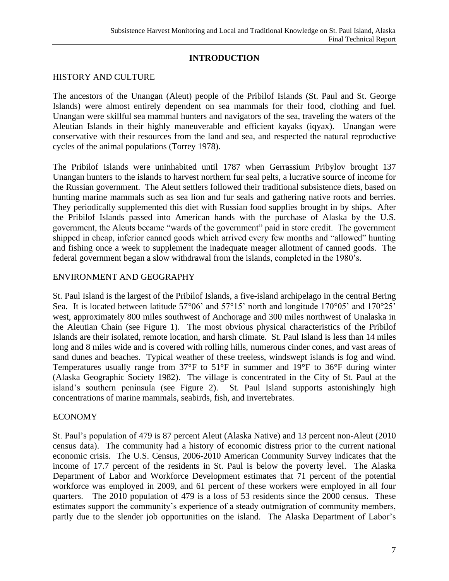# **INTRODUCTION**

# HISTORY AND CULTURE

The ancestors of the Unangan (Aleut) people of the Pribilof Islands (St. Paul and St. George Islands) were almost entirely dependent on sea mammals for their food, clothing and fuel. Unangan were skillful sea mammal hunters and navigators of the sea, traveling the waters of the Aleutian Islands in their highly maneuverable and efficient kayaks (iqyax). Unangan were conservative with their resources from the land and sea, and respected the natural reproductive cycles of the animal populations (Torrey 1978).

The Pribilof Islands were uninhabited until 1787 when Gerrassium Pribylov brought 137 Unangan hunters to the islands to harvest northern fur seal pelts, a lucrative source of income for the Russian government. The Aleut settlers followed their traditional subsistence diets, based on hunting marine mammals such as sea lion and fur seals and gathering native roots and berries. They periodically supplemented this diet with Russian food supplies brought in by ships. After the Pribilof Islands passed into American hands with the purchase of Alaska by the U.S. government, the Aleuts became "wards of the government" paid in store credit. The government shipped in cheap, inferior canned goods which arrived every few months and "allowed" hunting and fishing once a week to supplement the inadequate meager allotment of canned goods. The federal government began a slow withdrawal from the islands, completed in the 1980's.

## ENVIRONMENT AND GEOGRAPHY

St. Paul Island is the largest of the Pribilof Islands, a five-island archipelago in the central Bering Sea. It is located between latitude  $57^{\circ}06'$  and  $57^{\circ}15'$  north and longitude  $170^{\circ}05'$  and  $170^{\circ}25'$ west, approximately 800 miles southwest of Anchorage and 300 miles northwest of Unalaska in the Aleutian Chain (see Figure 1). The most obvious physical characteristics of the Pribilof Islands are their isolated, remote location, and harsh climate. St. Paul Island is less than 14 miles long and 8 miles wide and is covered with rolling hills, numerous cinder cones, and vast areas of sand dunes and beaches. Typical weather of these treeless, windswept islands is fog and wind. Temperatures usually range from 37**°**F to 51**°**F in summer and 19**°**F to 36**°**F during winter (Alaska Geographic Society 1982). The village is concentrated in the City of St. Paul at the island's southern peninsula (see Figure 2). St. Paul Island supports astonishingly high concentrations of marine mammals, seabirds, fish, and invertebrates.

## ECONOMY

St. Paul's population of 479 is 87 percent Aleut (Alaska Native) and 13 percent non-Aleut (2010 census data). The community had a history of economic distress prior to the current national economic crisis. The U.S. Census, 2006-2010 American Community Survey indicates that the income of 17.7 percent of the residents in St. Paul is below the poverty level. The Alaska Department of Labor and Workforce Development estimates that 71 percent of the potential workforce was employed in 2009, and 61 percent of these workers were employed in all four quarters. The 2010 population of 479 is a loss of 53 residents since the 2000 census. These estimates support the community's experience of a steady outmigration of community members, partly due to the slender job opportunities on the island. The Alaska Department of Labor's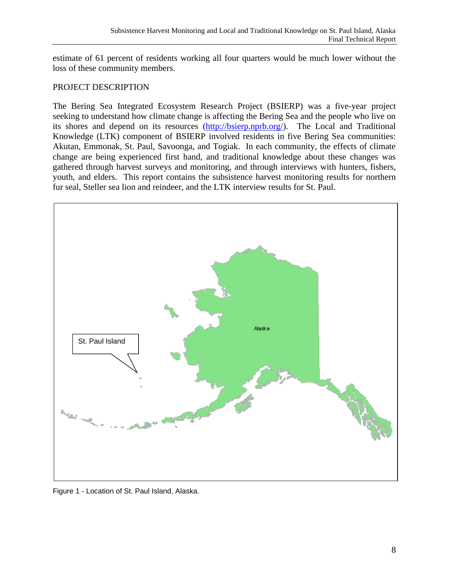estimate of 61 percent of residents working all four quarters would be much lower without the loss of these community members.

# PROJECT DESCRIPTION

The Bering Sea Integrated Ecosystem Research Project (BSIERP) was a five-year project seeking to understand how climate change is affecting the Bering Sea and the people who live on its shores and depend on its resources [\(http://bsierp.nprb.org/\)](http://bsierp.nprb.org/). The Local and Traditional Knowledge (LTK) component of BSIERP involved residents in five Bering Sea communities: Akutan, Emmonak, St. Paul, Savoonga, and Togiak. In each community, the effects of climate change are being experienced first hand, and traditional knowledge about these changes was gathered through harvest surveys and monitoring, and through interviews with hunters, fishers, youth, and elders. This report contains the subsistence harvest monitoring results for northern fur seal, Steller sea lion and reindeer, and the LTK interview results for St. Paul.



Figure 1 - Location of St. Paul Island, Alaska.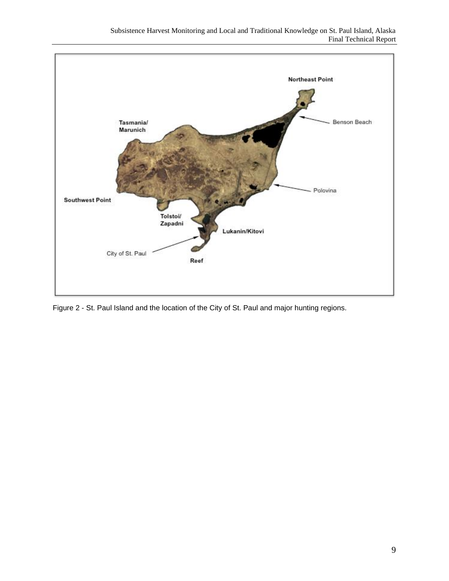

Figure 2 - St. Paul Island and the location of the City of St. Paul and major hunting regions.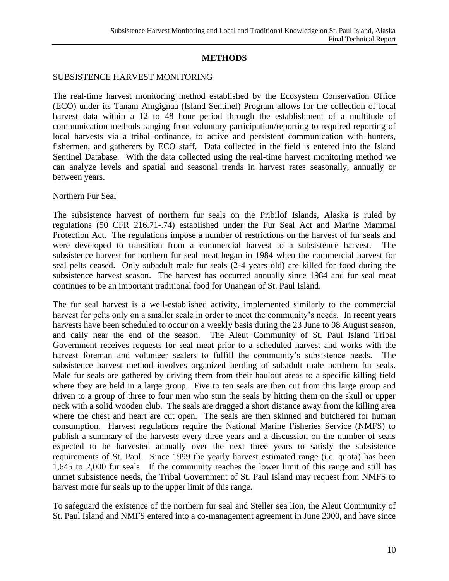## **METHODS**

#### SUBSISTENCE HARVEST MONITORING

The real-time harvest monitoring method established by the Ecosystem Conservation Office (ECO) under its Tanam Amgignaa (Island Sentinel) Program allows for the collection of local harvest data within a 12 to 48 hour period through the establishment of a multitude of communication methods ranging from voluntary participation/reporting to required reporting of local harvests via a tribal ordinance, to active and persistent communication with hunters, fishermen, and gatherers by ECO staff. Data collected in the field is entered into the Island Sentinel Database. With the data collected using the real-time harvest monitoring method we can analyze levels and spatial and seasonal trends in harvest rates seasonally, annually or between years.

#### Northern Fur Seal

The subsistence harvest of northern fur seals on the Pribilof Islands, Alaska is ruled by regulations (50 CFR 216.71-.74) established under the Fur Seal Act and Marine Mammal Protection Act. The regulations impose a number of restrictions on the harvest of fur seals and were developed to transition from a commercial harvest to a subsistence harvest. The subsistence harvest for northern fur seal meat began in 1984 when the commercial harvest for seal pelts ceased. Only subadult male fur seals (2-4 years old) are killed for food during the subsistence harvest season. The harvest has occurred annually since 1984 and fur seal meat continues to be an important traditional food for Unangan of St. Paul Island.

The fur seal harvest is a well-established activity, implemented similarly to the commercial harvest for pelts only on a smaller scale in order to meet the community's needs. In recent years harvests have been scheduled to occur on a weekly basis during the 23 June to 08 August season, and daily near the end of the season. The Aleut Community of St. Paul Island Tribal Government receives requests for seal meat prior to a scheduled harvest and works with the harvest foreman and volunteer sealers to fulfill the community's subsistence needs. The subsistence harvest method involves organized herding of subadult male northern fur seals. Male fur seals are gathered by driving them from their haulout areas to a specific killing field where they are held in a large group. Five to ten seals are then cut from this large group and driven to a group of three to four men who stun the seals by hitting them on the skull or upper neck with a solid wooden club. The seals are dragged a short distance away from the killing area where the chest and heart are cut open. The seals are then skinned and butchered for human consumption. Harvest regulations require the National Marine Fisheries Service (NMFS) to publish a summary of the harvests every three years and a discussion on the number of seals expected to be harvested annually over the next three years to satisfy the subsistence requirements of St. Paul. Since 1999 the yearly harvest estimated range (i.e. quota) has been 1,645 to 2,000 fur seals. If the community reaches the lower limit of this range and still has unmet subsistence needs, the Tribal Government of St. Paul Island may request from NMFS to harvest more fur seals up to the upper limit of this range.

To safeguard the existence of the northern fur seal and Steller sea lion, the Aleut Community of St. Paul Island and NMFS entered into a co-management agreement in June 2000, and have since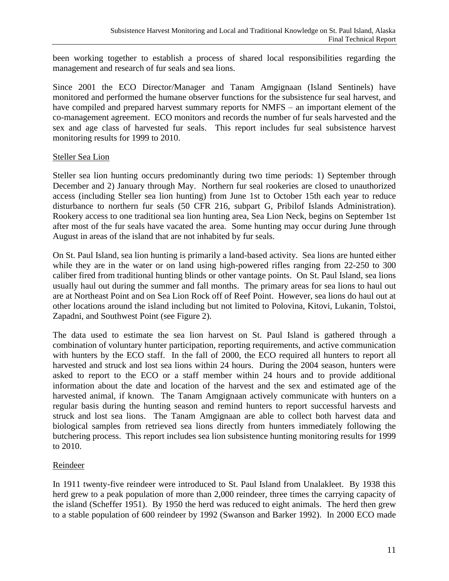been working together to establish a process of shared local responsibilities regarding the management and research of fur seals and sea lions.

Since 2001 the ECO Director/Manager and Tanam Amgignaan (Island Sentinels) have monitored and performed the humane observer functions for the subsistence fur seal harvest, and have compiled and prepared harvest summary reports for NMFS – an important element of the co-management agreement. ECO monitors and records the number of fur seals harvested and the sex and age class of harvested fur seals. This report includes fur seal subsistence harvest monitoring results for 1999 to 2010.

# Steller Sea Lion

Steller sea lion hunting occurs predominantly during two time periods: 1) September through December and 2) January through May. Northern fur seal rookeries are closed to unauthorized access (including Steller sea lion hunting) from June 1st to October 15th each year to reduce disturbance to northern fur seals (50 CFR 216, subpart G, Pribilof Islands Administration). Rookery access to one traditional sea lion hunting area, Sea Lion Neck, begins on September 1st after most of the fur seals have vacated the area. Some hunting may occur during June through August in areas of the island that are not inhabited by fur seals.

On St. Paul Island, sea lion hunting is primarily a land-based activity. Sea lions are hunted either while they are in the water or on land using high-powered rifles ranging from 22-250 to 300 caliber fired from traditional hunting blinds or other vantage points. On St. Paul Island, sea lions usually haul out during the summer and fall months. The primary areas for sea lions to haul out are at Northeast Point and on Sea Lion Rock off of Reef Point. However, sea lions do haul out at other locations around the island including but not limited to Polovina, Kitovi, Lukanin, Tolstoi, Zapadni, and Southwest Point (see Figure 2).

The data used to estimate the sea lion harvest on St. Paul Island is gathered through a combination of voluntary hunter participation, reporting requirements, and active communication with hunters by the ECO staff. In the fall of 2000, the ECO required all hunters to report all harvested and struck and lost sea lions within 24 hours. During the 2004 season, hunters were asked to report to the ECO or a staff member within 24 hours and to provide additional information about the date and location of the harvest and the sex and estimated age of the harvested animal, if known. The Tanam Amgignaan actively communicate with hunters on a regular basis during the hunting season and remind hunters to report successful harvests and struck and lost sea lions. The Tanam Amgignaan are able to collect both harvest data and biological samples from retrieved sea lions directly from hunters immediately following the butchering process. This report includes sea lion subsistence hunting monitoring results for 1999 to 2010.

# Reindeer

In 1911 twenty-five reindeer were introduced to St. Paul Island from Unalakleet. By 1938 this herd grew to a peak population of more than 2,000 reindeer, three times the carrying capacity of the island (Scheffer 1951). By 1950 the herd was reduced to eight animals. The herd then grew to a stable population of 600 reindeer by 1992 (Swanson and Barker 1992). In 2000 ECO made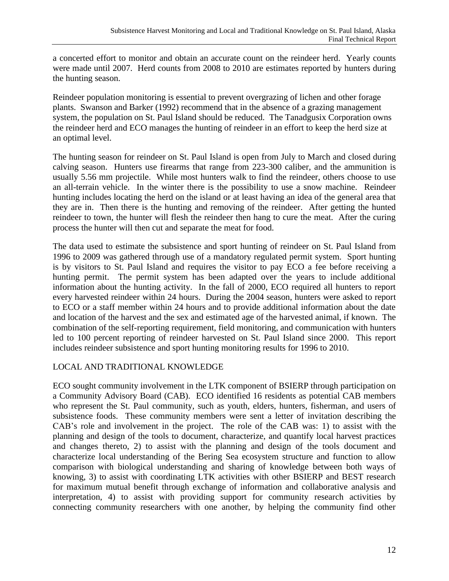a concerted effort to monitor and obtain an accurate count on the reindeer herd. Yearly counts were made until 2007. Herd counts from 2008 to 2010 are estimates reported by hunters during the hunting season.

Reindeer population monitoring is essential to prevent overgrazing of lichen and other forage plants. Swanson and Barker (1992) recommend that in the absence of a grazing management system, the population on St. Paul Island should be reduced. The Tanadgusix Corporation owns the reindeer herd and ECO manages the hunting of reindeer in an effort to keep the herd size at an optimal level.

The hunting season for reindeer on St. Paul Island is open from July to March and closed during calving season. Hunters use firearms that range from 223-300 caliber, and the ammunition is usually 5.56 mm projectile. While most hunters walk to find the reindeer, others choose to use an all-terrain vehicle. In the winter there is the possibility to use a snow machine. Reindeer hunting includes locating the herd on the island or at least having an idea of the general area that they are in. Then there is the hunting and removing of the reindeer. After getting the hunted reindeer to town, the hunter will flesh the reindeer then hang to cure the meat. After the curing process the hunter will then cut and separate the meat for food.

The data used to estimate the subsistence and sport hunting of reindeer on St. Paul Island from 1996 to 2009 was gathered through use of a mandatory regulated permit system. Sport hunting is by visitors to St. Paul Island and requires the visitor to pay ECO a fee before receiving a hunting permit. The permit system has been adapted over the years to include additional information about the hunting activity. In the fall of 2000, ECO required all hunters to report every harvested reindeer within 24 hours. During the 2004 season, hunters were asked to report to ECO or a staff member within 24 hours and to provide additional information about the date and location of the harvest and the sex and estimated age of the harvested animal, if known. The combination of the self-reporting requirement, field monitoring, and communication with hunters led to 100 percent reporting of reindeer harvested on St. Paul Island since 2000. This report includes reindeer subsistence and sport hunting monitoring results for 1996 to 2010.

# LOCAL AND TRADITIONAL KNOWLEDGE

ECO sought community involvement in the LTK component of BSIERP through participation on a Community Advisory Board (CAB). ECO identified 16 residents as potential CAB members who represent the St. Paul community, such as youth, elders, hunters, fisherman, and users of subsistence foods. These community members were sent a letter of invitation describing the CAB's role and involvement in the project. The role of the CAB was: 1) to assist with the planning and design of the tools to document, characterize, and quantify local harvest practices and changes thereto, 2) to assist with the planning and design of the tools document and characterize local understanding of the Bering Sea ecosystem structure and function to allow comparison with biological understanding and sharing of knowledge between both ways of knowing, 3) to assist with coordinating LTK activities with other BSIERP and BEST research for maximum mutual benefit through exchange of information and collaborative analysis and interpretation, 4) to assist with providing support for community research activities by connecting community researchers with one another, by helping the community find other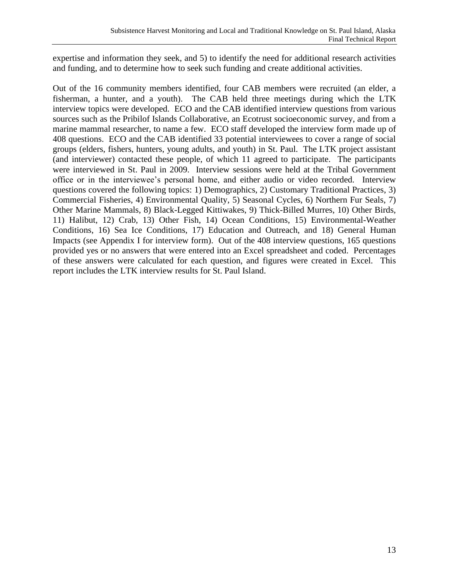expertise and information they seek, and 5) to identify the need for additional research activities and funding, and to determine how to seek such funding and create additional activities.

Out of the 16 community members identified, four CAB members were recruited (an elder, a fisherman, a hunter, and a youth). The CAB held three meetings during which the LTK interview topics were developed. ECO and the CAB identified interview questions from various sources such as the Pribilof Islands Collaborative, an Ecotrust socioeconomic survey, and from a marine mammal researcher, to name a few. ECO staff developed the interview form made up of 408 questions. ECO and the CAB identified 33 potential interviewees to cover a range of social groups (elders, fishers, hunters, young adults, and youth) in St. Paul. The LTK project assistant (and interviewer) contacted these people, of which 11 agreed to participate. The participants were interviewed in St. Paul in 2009. Interview sessions were held at the Tribal Government office or in the interviewee's personal home, and either audio or video recorded. Interview questions covered the following topics: 1) Demographics, 2) Customary Traditional Practices, 3) Commercial Fisheries, 4) Environmental Quality, 5) Seasonal Cycles, 6) Northern Fur Seals, 7) Other Marine Mammals, 8) Black-Legged Kittiwakes, 9) Thick-Billed Murres, 10) Other Birds, 11) Halibut, 12) Crab, 13) Other Fish, 14) Ocean Conditions, 15) Environmental-Weather Conditions, 16) Sea Ice Conditions, 17) Education and Outreach, and 18) General Human Impacts (see Appendix I for interview form). Out of the 408 interview questions, 165 questions provided yes or no answers that were entered into an Excel spreadsheet and coded. Percentages of these answers were calculated for each question, and figures were created in Excel. This report includes the LTK interview results for St. Paul Island.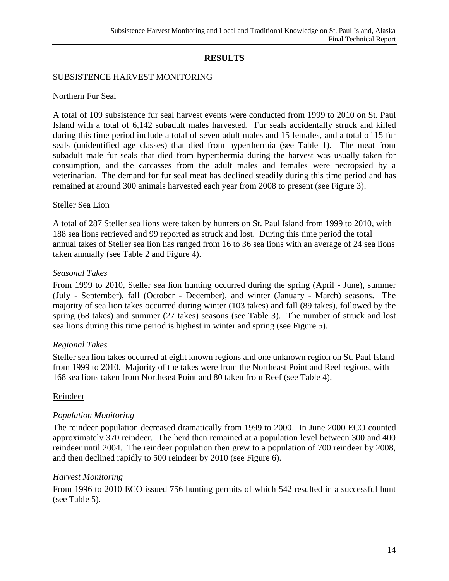# **RESULTS**

# SUBSISTENCE HARVEST MONITORING

## Northern Fur Seal

A total of 109 subsistence fur seal harvest events were conducted from 1999 to 2010 on St. Paul Island with a total of 6,142 subadult males harvested. Fur seals accidentally struck and killed during this time period include a total of seven adult males and 15 females, and a total of 15 fur seals (unidentified age classes) that died from hyperthermia (see Table 1). The meat from subadult male fur seals that died from hyperthermia during the harvest was usually taken for consumption, and the carcasses from the adult males and females were necropsied by a veterinarian. The demand for fur seal meat has declined steadily during this time period and has remained at around 300 animals harvested each year from 2008 to present (see Figure 3).

## Steller Sea Lion

A total of 287 Steller sea lions were taken by hunters on St. Paul Island from 1999 to 2010, with 188 sea lions retrieved and 99 reported as struck and lost. During this time period the total annual takes of Steller sea lion has ranged from 16 to 36 sea lions with an average of 24 sea lions taken annually (see Table 2 and Figure 4).

## *Seasonal Takes*

From 1999 to 2010, Steller sea lion hunting occurred during the spring (April - June), summer (July - September), fall (October - December), and winter (January - March) seasons. The majority of sea lion takes occurred during winter (103 takes) and fall (89 takes), followed by the spring (68 takes) and summer (27 takes) seasons (see Table 3). The number of struck and lost sea lions during this time period is highest in winter and spring (see Figure 5).

## *Regional Takes*

Steller sea lion takes occurred at eight known regions and one unknown region on St. Paul Island from 1999 to 2010. Majority of the takes were from the Northeast Point and Reef regions, with 168 sea lions taken from Northeast Point and 80 taken from Reef (see Table 4).

#### Reindeer

## *Population Monitoring*

The reindeer population decreased dramatically from 1999 to 2000. In June 2000 ECO counted approximately 370 reindeer. The herd then remained at a population level between 300 and 400 reindeer until 2004. The reindeer population then grew to a population of 700 reindeer by 2008, and then declined rapidly to 500 reindeer by 2010 (see Figure 6).

## *Harvest Monitoring*

From 1996 to 2010 ECO issued 756 hunting permits of which 542 resulted in a successful hunt (see Table 5).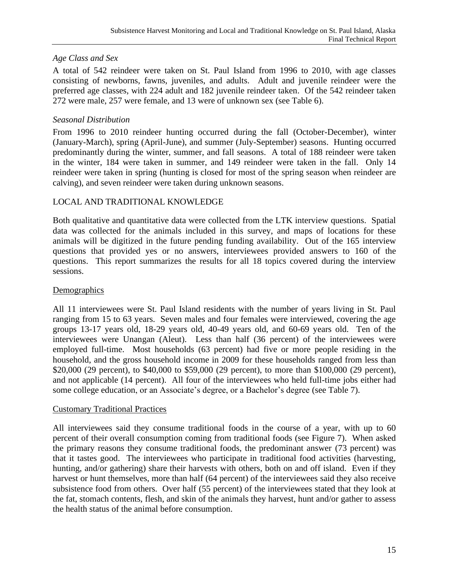# *Age Class and Sex*

A total of 542 reindeer were taken on St. Paul Island from 1996 to 2010, with age classes consisting of newborns, fawns, juveniles, and adults. Adult and juvenile reindeer were the preferred age classes, with 224 adult and 182 juvenile reindeer taken. Of the 542 reindeer taken 272 were male, 257 were female, and 13 were of unknown sex (see Table 6).

# *Seasonal Distribution*

From 1996 to 2010 reindeer hunting occurred during the fall (October-December), winter (January-March), spring (April-June), and summer (July-September) seasons. Hunting occurred predominantly during the winter, summer, and fall seasons. A total of 188 reindeer were taken in the winter, 184 were taken in summer, and 149 reindeer were taken in the fall. Only 14 reindeer were taken in spring (hunting is closed for most of the spring season when reindeer are calving), and seven reindeer were taken during unknown seasons.

# LOCAL AND TRADITIONAL KNOWLEDGE

Both qualitative and quantitative data were collected from the LTK interview questions. Spatial data was collected for the animals included in this survey, and maps of locations for these animals will be digitized in the future pending funding availability. Out of the 165 interview questions that provided yes or no answers, interviewees provided answers to 160 of the questions. This report summarizes the results for all 18 topics covered during the interview sessions.

# **Demographics**

All 11 interviewees were St. Paul Island residents with the number of years living in St. Paul ranging from 15 to 63 years. Seven males and four females were interviewed, covering the age groups 13-17 years old, 18-29 years old, 40-49 years old, and 60-69 years old. Ten of the interviewees were Unangan (Aleut). Less than half (36 percent) of the interviewees were employed full-time. Most households (63 percent) had five or more people residing in the household, and the gross household income in 2009 for these households ranged from less than \$20,000 (29 percent), to \$40,000 to \$59,000 (29 percent), to more than \$100,000 (29 percent), and not applicable (14 percent). All four of the interviewees who held full-time jobs either had some college education, or an Associate's degree, or a Bachelor's degree (see Table 7).

# Customary Traditional Practices

All interviewees said they consume traditional foods in the course of a year, with up to 60 percent of their overall consumption coming from traditional foods (see Figure 7). When asked the primary reasons they consume traditional foods, the predominant answer (73 percent) was that it tastes good. The interviewees who participate in traditional food activities (harvesting, hunting, and/or gathering) share their harvests with others, both on and off island. Even if they harvest or hunt themselves, more than half (64 percent) of the interviewees said they also receive subsistence food from others. Over half (55 percent) of the interviewees stated that they look at the fat, stomach contents, flesh, and skin of the animals they harvest, hunt and/or gather to assess the health status of the animal before consumption.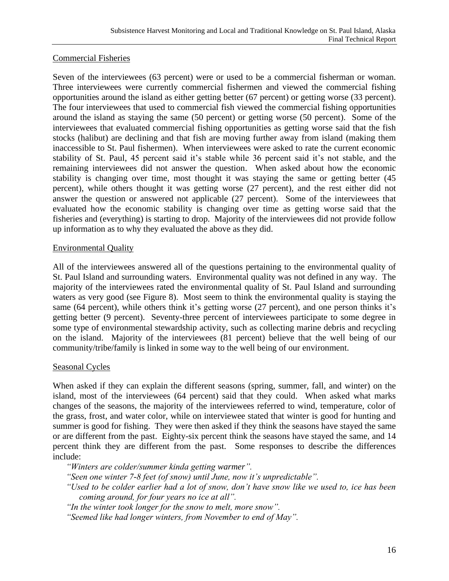# Commercial Fisheries

Seven of the interviewees (63 percent) were or used to be a commercial fisherman or woman. Three interviewees were currently commercial fishermen and viewed the commercial fishing opportunities around the island as either getting better (67 percent) or getting worse (33 percent). The four interviewees that used to commercial fish viewed the commercial fishing opportunities around the island as staying the same (50 percent) or getting worse (50 percent). Some of the interviewees that evaluated commercial fishing opportunities as getting worse said that the fish stocks (halibut) are declining and that fish are moving further away from island (making them inaccessible to St. Paul fishermen). When interviewees were asked to rate the current economic stability of St. Paul, 45 percent said it's stable while 36 percent said it's not stable, and the remaining interviewees did not answer the question. When asked about how the economic stability is changing over time, most thought it was staying the same or getting better (45 percent), while others thought it was getting worse (27 percent), and the rest either did not answer the question or answered not applicable (27 percent). Some of the interviewees that evaluated how the economic stability is changing over time as getting worse said that the fisheries and (everything) is starting to drop. Majority of the interviewees did not provide follow up information as to why they evaluated the above as they did.

# Environmental Quality

All of the interviewees answered all of the questions pertaining to the environmental quality of St. Paul Island and surrounding waters. Environmental quality was not defined in any way. The majority of the interviewees rated the environmental quality of St. Paul Island and surrounding waters as very good (see Figure 8). Most seem to think the environmental quality is staying the same (64 percent), while others think it's getting worse (27 percent), and one person thinks it's getting better (9 percent). Seventy-three percent of interviewees participate to some degree in some type of environmental stewardship activity, such as collecting marine debris and recycling on the island. Majority of the interviewees (81 percent) believe that the well being of our community/tribe/family is linked in some way to the well being of our environment.

# Seasonal Cycles

When asked if they can explain the different seasons (spring, summer, fall, and winter) on the island, most of the interviewees (64 percent) said that they could. When asked what marks changes of the seasons, the majority of the interviewees referred to wind, temperature, color of the grass, frost, and water color, while on interviewee stated that winter is good for hunting and summer is good for fishing. They were then asked if they think the seasons have stayed the same or are different from the past. Eighty-six percent think the seasons have stayed the same, and 14 percent think they are different from the past. Some responses to describe the differences include:

*"Winters are colder/summer kinda getting warmer".*

*"Seen one winter 7-8 feet (of snow) until June, now it's unpredictable".*

*"Used to be colder earlier had a lot of snow, don't have snow like we used to, ice has been coming around, for four years no ice at all".*

*"In the winter took longer for the snow to melt, more snow".*

*"Seemed like had longer winters, from November to end of May".*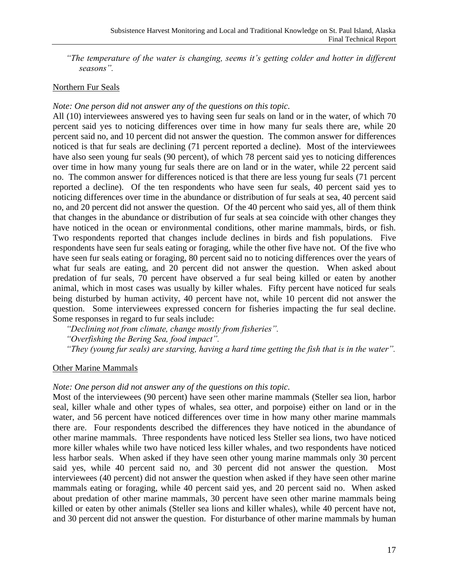*"The temperature of the water is changing, seems it's getting colder and hotter in different seasons".*

## Northern Fur Seals

## *Note: One person did not answer any of the questions on this topic.*

All (10) interviewees answered yes to having seen fur seals on land or in the water, of which 70 percent said yes to noticing differences over time in how many fur seals there are, while 20 percent said no, and 10 percent did not answer the question. The common answer for differences noticed is that fur seals are declining (71 percent reported a decline). Most of the interviewees have also seen young fur seals (90 percent), of which 78 percent said yes to noticing differences over time in how many young fur seals there are on land or in the water, while 22 percent said no. The common answer for differences noticed is that there are less young fur seals (71 percent reported a decline). Of the ten respondents who have seen fur seals, 40 percent said yes to noticing differences over time in the abundance or distribution of fur seals at sea, 40 percent said no, and 20 percent did not answer the question. Of the 40 percent who said yes, all of them think that changes in the abundance or distribution of fur seals at sea coincide with other changes they have noticed in the ocean or environmental conditions, other marine mammals, birds, or fish. Two respondents reported that changes include declines in birds and fish populations. Five respondents have seen fur seals eating or foraging, while the other five have not. Of the five who have seen fur seals eating or foraging, 80 percent said no to noticing differences over the years of what fur seals are eating, and 20 percent did not answer the question. When asked about predation of fur seals, 70 percent have observed a fur seal being killed or eaten by another animal, which in most cases was usually by killer whales. Fifty percent have noticed fur seals being disturbed by human activity, 40 percent have not, while 10 percent did not answer the question. Some interviewees expressed concern for fisheries impacting the fur seal decline. Some responses in regard to fur seals include:

*"Declining not from climate, change mostly from fisheries". "Overfishing the Bering Sea, food impact". "They (young fur seals) are starving, having a hard time getting the fish that is in the water".*

## Other Marine Mammals

## *Note: One person did not answer any of the questions on this topic.*

Most of the interviewees (90 percent) have seen other marine mammals (Steller sea lion, harbor seal, killer whale and other types of whales, sea otter, and porpoise) either on land or in the water, and 56 percent have noticed differences over time in how many other marine mammals there are. Four respondents described the differences they have noticed in the abundance of other marine mammals. Three respondents have noticed less Steller sea lions, two have noticed more killer whales while two have noticed less killer whales, and two respondents have noticed less harbor seals. When asked if they have seen other young marine mammals only 30 percent said yes, while 40 percent said no, and 30 percent did not answer the question. Most interviewees (40 percent) did not answer the question when asked if they have seen other marine mammals eating or foraging, while 40 percent said yes, and 20 percent said no. When asked about predation of other marine mammals, 30 percent have seen other marine mammals being killed or eaten by other animals (Steller sea lions and killer whales), while 40 percent have not, and 30 percent did not answer the question. For disturbance of other marine mammals by human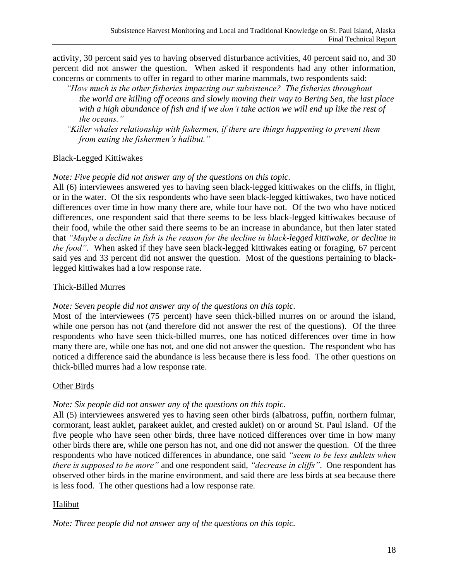activity, 30 percent said yes to having observed disturbance activities, 40 percent said no, and 30 percent did not answer the question. When asked if respondents had any other information, concerns or comments to offer in regard to other marine mammals, two respondents said:

- *"How much is the other fisheries impacting our subsistence? The fisheries throughout the world are killing off oceans and slowly moving their way to Bering Sea, the last place with a high abundance of fish and if we don't take action we will end up like the rest of the oceans."*
- *"Killer whales relationship with fishermen, if there are things happening to prevent them from eating the fishermen's halibut."*

## Black-Legged Kittiwakes

## *Note: Five people did not answer any of the questions on this topic.*

All (6) interviewees answered yes to having seen black-legged kittiwakes on the cliffs, in flight, or in the water. Of the six respondents who have seen black-legged kittiwakes, two have noticed differences over time in how many there are, while four have not. Of the two who have noticed differences, one respondent said that there seems to be less black-legged kittiwakes because of their food, while the other said there seems to be an increase in abundance, but then later stated that *"Maybe a decline in fish is the reason for the decline in black-legged kittiwake, or decline in the food"*. When asked if they have seen black-legged kittiwakes eating or foraging, 67 percent said yes and 33 percent did not answer the question. Most of the questions pertaining to blacklegged kittiwakes had a low response rate.

## Thick-Billed Murres

# *Note: Seven people did not answer any of the questions on this topic.*

Most of the interviewees (75 percent) have seen thick-billed murres on or around the island, while one person has not (and therefore did not answer the rest of the questions). Of the three respondents who have seen thick-billed murres, one has noticed differences over time in how many there are, while one has not, and one did not answer the question. The respondent who has noticed a difference said the abundance is less because there is less food. The other questions on thick-billed murres had a low response rate.

## Other Birds

# *Note: Six people did not answer any of the questions on this topic.*

All (5) interviewees answered yes to having seen other birds (albatross, puffin, northern fulmar, cormorant, least auklet, parakeet auklet, and crested auklet) on or around St. Paul Island. Of the five people who have seen other birds, three have noticed differences over time in how many other birds there are, while one person has not, and one did not answer the question. Of the three respondents who have noticed differences in abundance, one said *"seem to be less auklets when there is supposed to be more"* and one respondent said, *"decrease in cliffs"*. One respondent has observed other birds in the marine environment, and said there are less birds at sea because there is less food. The other questions had a low response rate.

# Halibut

*Note: Three people did not answer any of the questions on this topic.*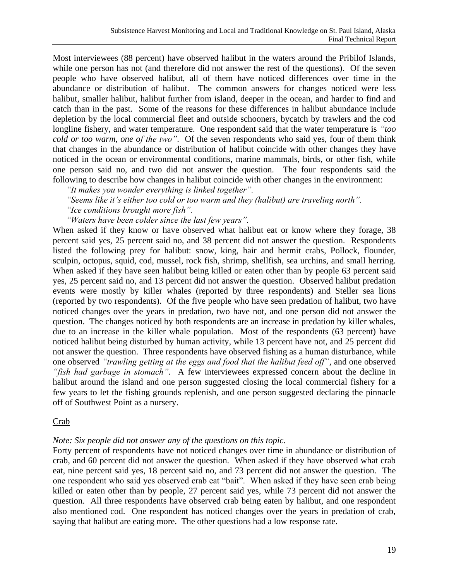Most interviewees (88 percent) have observed halibut in the waters around the Pribilof Islands, while one person has not (and therefore did not answer the rest of the questions). Of the seven people who have observed halibut, all of them have noticed differences over time in the abundance or distribution of halibut. The common answers for changes noticed were less halibut, smaller halibut, halibut further from island, deeper in the ocean, and harder to find and catch than in the past. Some of the reasons for these differences in halibut abundance include depletion by the local commercial fleet and outside schooners, bycatch by trawlers and the cod longline fishery, and water temperature. One respondent said that the water temperature is *"too cold or too warm, one of the two"*. Of the seven respondents who said yes, four of them think that changes in the abundance or distribution of halibut coincide with other changes they have noticed in the ocean or environmental conditions, marine mammals, birds, or other fish, while one person said no, and two did not answer the question. The four respondents said the following to describe how changes in halibut coincide with other changes in the environment:

*"It makes you wonder everything is linked together".*

*"Seems like it's either too cold or too warm and they (halibut) are traveling north".*

*"Ice conditions brought more fish".*

*"Waters have been colder since the last few years".*

When asked if they know or have observed what halibut eat or know where they forage, 38 percent said yes, 25 percent said no, and 38 percent did not answer the question. Respondents listed the following prey for halibut: snow, king, hair and hermit crabs, Pollock, flounder, sculpin, octopus, squid, cod, mussel, rock fish, shrimp, shellfish, sea urchins, and small herring. When asked if they have seen halibut being killed or eaten other than by people 63 percent said yes, 25 percent said no, and 13 percent did not answer the question. Observed halibut predation events were mostly by killer whales (reported by three respondents) and Steller sea lions (reported by two respondents). Of the five people who have seen predation of halibut, two have noticed changes over the years in predation, two have not, and one person did not answer the question. The changes noticed by both respondents are an increase in predation by killer whales, due to an increase in the killer whale population. Most of the respondents (63 percent) have noticed halibut being disturbed by human activity, while 13 percent have not, and 25 percent did not answer the question. Three respondents have observed fishing as a human disturbance, while one observed *"trawling getting at the eggs and food that the halibut feed off"*, and one observed *"fish had garbage in stomach"*. A few interviewees expressed concern about the decline in halibut around the island and one person suggested closing the local commercial fishery for a few years to let the fishing grounds replenish, and one person suggested declaring the pinnacle off of Southwest Point as a nursery.

## Crab

## *Note: Six people did not answer any of the questions on this topic.*

Forty percent of respondents have not noticed changes over time in abundance or distribution of crab, and 60 percent did not answer the question. When asked if they have observed what crab eat, nine percent said yes, 18 percent said no, and 73 percent did not answer the question. The one respondent who said yes observed crab eat "bait". When asked if they have seen crab being killed or eaten other than by people, 27 percent said yes, while 73 percent did not answer the question. All three respondents have observed crab being eaten by halibut, and one respondent also mentioned cod. One respondent has noticed changes over the years in predation of crab, saying that halibut are eating more. The other questions had a low response rate.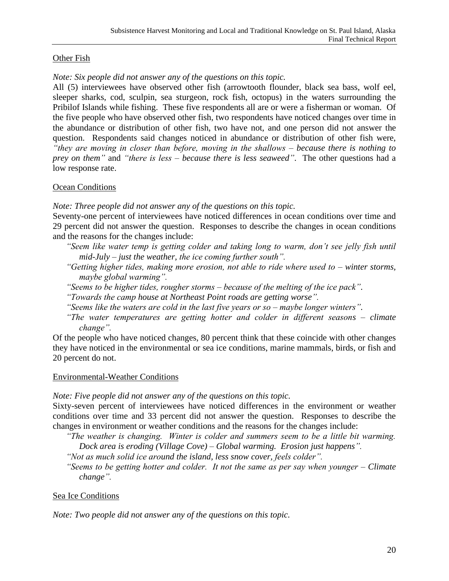# Other Fish

## *Note: Six people did not answer any of the questions on this topic.*

All (5) interviewees have observed other fish (arrowtooth flounder, black sea bass, wolf eel, sleeper sharks, cod, sculpin, sea sturgeon, rock fish, octopus) in the waters surrounding the Pribilof Islands while fishing. These five respondents all are or were a fisherman or woman. Of the five people who have observed other fish, two respondents have noticed changes over time in the abundance or distribution of other fish, two have not, and one person did not answer the question. Respondents said changes noticed in abundance or distribution of other fish were, *"they are moving in closer than before, moving in the shallows – because there is nothing to prey on them"* and *"there is less – because there is less seaweed"*. The other questions had a low response rate.

## Ocean Conditions

*Note: Three people did not answer any of the questions on this topic.*

Seventy-one percent of interviewees have noticed differences in ocean conditions over time and 29 percent did not answer the question. Responses to describe the changes in ocean conditions and the reasons for the changes include:

- *"Seem like water temp is getting colder and taking long to warm, don't see jelly fish until mid-July – just the weather, the ice coming further south".*
- *"Getting higher tides, making more erosion, not able to ride where used to – winter storms, maybe global warming".*
- *"Seems to be higher tides, rougher storms – because of the melting of the ice pack".*
- *"Towards the camp house at Northeast Point roads are getting worse".*
- *"Seems like the waters are cold in the last five years or so – maybe longer winters".*
- *"The water temperatures are getting hotter and colder in different seasons – climate change".*

Of the people who have noticed changes, 80 percent think that these coincide with other changes they have noticed in the environmental or sea ice conditions, marine mammals, birds, or fish and 20 percent do not.

## Environmental-Weather Conditions

*Note: Five people did not answer any of the questions on this topic.*

Sixty-seven percent of interviewees have noticed differences in the environment or weather conditions over time and 33 percent did not answer the question. Responses to describe the changes in environment or weather conditions and the reasons for the changes include:

*"The weather is changing. Winter is colder and summers seem to be a little bit warming. Dock area is eroding (Village Cove) – Global warming. Erosion just happens".*

*"Not as much solid ice around the island, less snow cover, feels colder".*

*"Seems to be getting hotter and colder. It not the same as per say when younger – Climate change".*

# Sea Ice Conditions

*Note: Two people did not answer any of the questions on this topic.*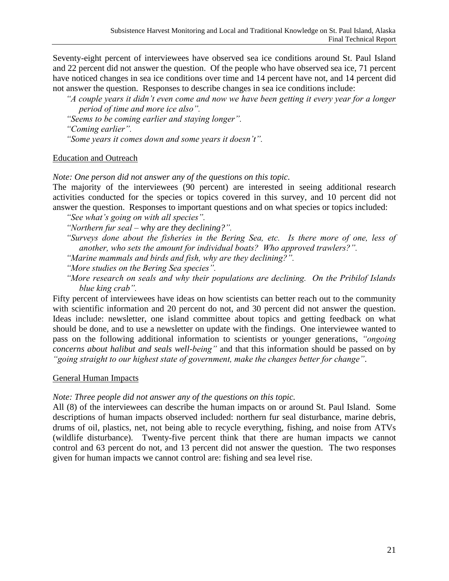Seventy-eight percent of interviewees have observed sea ice conditions around St. Paul Island and 22 percent did not answer the question. Of the people who have observed sea ice, 71 percent have noticed changes in sea ice conditions over time and 14 percent have not, and 14 percent did not answer the question. Responses to describe changes in sea ice conditions include:

*"A couple years it didn't even come and now we have been getting it every year for a longer period of time and more ice also".*

*"Seems to be coming earlier and staying longer".*

*"Coming earlier".*

*"Some years it comes down and some years it doesn't".*

# Education and Outreach

*Note: One person did not answer any of the questions on this topic.*

The majority of the interviewees (90 percent) are interested in seeing additional research activities conducted for the species or topics covered in this survey, and 10 percent did not answer the question. Responses to important questions and on what species or topics included:

*"See what's going on with all species".*

*"Northern fur seal – why are they declining?".*

*"Surveys done about the fisheries in the Bering Sea, etc. Is there more of one, less of another, who sets the amount for individual boats? Who approved trawlers?".*

*"Marine mammals and birds and fish, why are they declining?".*

*"More studies on the Bering Sea species".*

*"More research on seals and why their populations are declining. On the Pribilof Islands blue king crab".*

Fifty percent of interviewees have ideas on how scientists can better reach out to the community with scientific information and 20 percent do not, and 30 percent did not answer the question. Ideas include: newsletter, one island committee about topics and getting feedback on what should be done, and to use a newsletter on update with the findings. One interviewee wanted to pass on the following additional information to scientists or younger generations, *"ongoing concerns about halibut and seals well-being"* and that this information should be passed on by *"going straight to our highest state of government, make the changes better for change"*.

# General Human Impacts

# *Note: Three people did not answer any of the questions on this topic.*

All (8) of the interviewees can describe the human impacts on or around St. Paul Island. Some descriptions of human impacts observed included: northern fur seal disturbance, marine debris, drums of oil, plastics, net, not being able to recycle everything, fishing, and noise from ATVs (wildlife disturbance). Twenty-five percent think that there are human impacts we cannot control and 63 percent do not, and 13 percent did not answer the question. The two responses given for human impacts we cannot control are: fishing and sea level rise.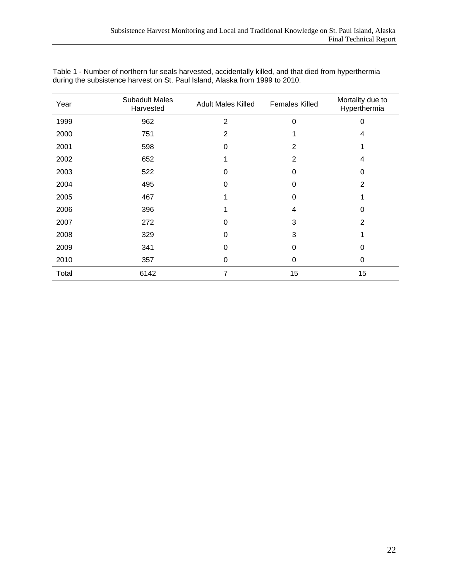| Year  | <b>Subadult Males</b><br>Harvested | <b>Adult Males Killed</b> | <b>Females Killed</b> | Mortality due to<br>Hyperthermia |
|-------|------------------------------------|---------------------------|-----------------------|----------------------------------|
| 1999  | 962                                | $\overline{2}$            | $\Omega$              | 0                                |
| 2000  | 751                                | 2                         |                       | 4                                |
| 2001  | 598                                | 0                         | 2                     |                                  |
| 2002  | 652                                |                           | $\overline{2}$        | 4                                |
| 2003  | 522                                | 0                         | 0                     | 0                                |
| 2004  | 495                                | 0                         | 0                     | 2                                |
| 2005  | 467                                |                           | 0                     |                                  |
| 2006  | 396                                |                           | 4                     | 0                                |
| 2007  | 272                                | 0                         | 3                     | $\overline{2}$                   |
| 2008  | 329                                | ი                         | 3                     | 4                                |
| 2009  | 341                                | 0                         | 0                     | 0                                |
| 2010  | 357                                | 0                         | 0                     | 0                                |
| Total | 6142                               | 7                         | 15                    | 15                               |

Table 1 - Number of northern fur seals harvested, accidentally killed, and that died from hyperthermia during the subsistence harvest on St. Paul Island, Alaska from 1999 to 2010.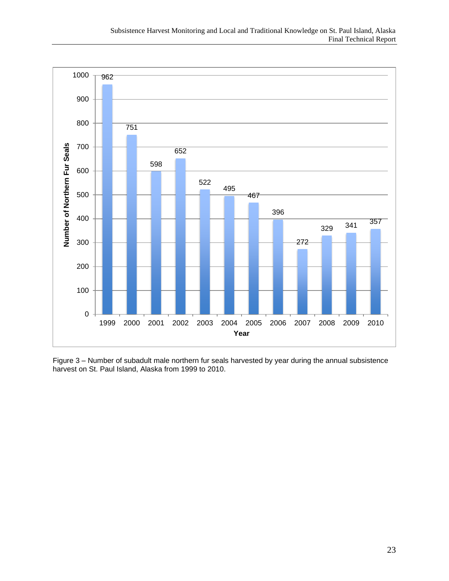

Figure 3 – Number of subadult male northern fur seals harvested by year during the annual subsistence harvest on St. Paul Island, Alaska from 1999 to 2010.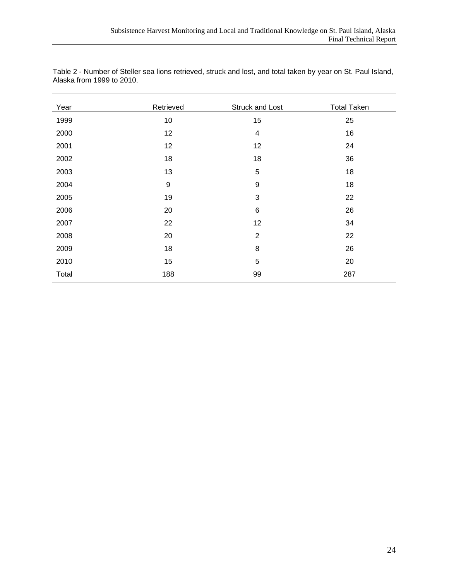| Year  | Retrieved        | Struck and Lost  | <b>Total Taken</b> |
|-------|------------------|------------------|--------------------|
| 1999  | 10               | 15               | 25                 |
| 2000  | 12               | 4                | 16                 |
| 2001  | 12               | 12               | 24                 |
| 2002  | 18               | 18               | 36                 |
| 2003  | 13               | 5                | 18                 |
| 2004  | $\boldsymbol{9}$ | $\boldsymbol{9}$ | 18                 |
| 2005  | 19               | 3                | 22                 |
| 2006  | 20               | $\,6$            | 26                 |
| 2007  | 22               | 12               | 34                 |
| 2008  | 20               | $\overline{2}$   | 22                 |
| 2009  | 18               | 8                | 26                 |
| 2010  | 15               | 5                | 20                 |
| Total | 188              | 99               | 287                |

Table 2 - Number of Steller sea lions retrieved, struck and lost, and total taken by year on St. Paul Island, Alaska from 1999 to 2010.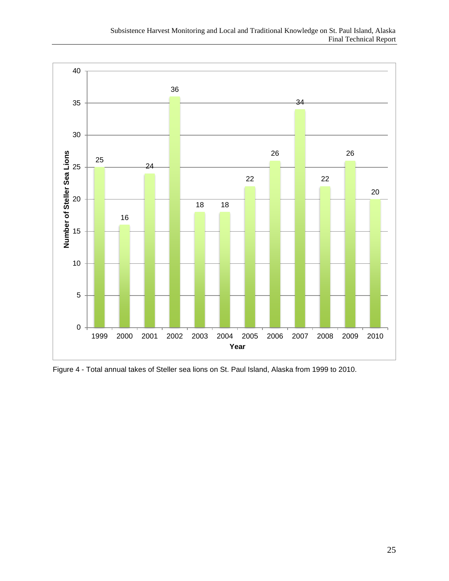

Figure 4 - Total annual takes of Steller sea lions on St. Paul Island, Alaska from 1999 to 2010.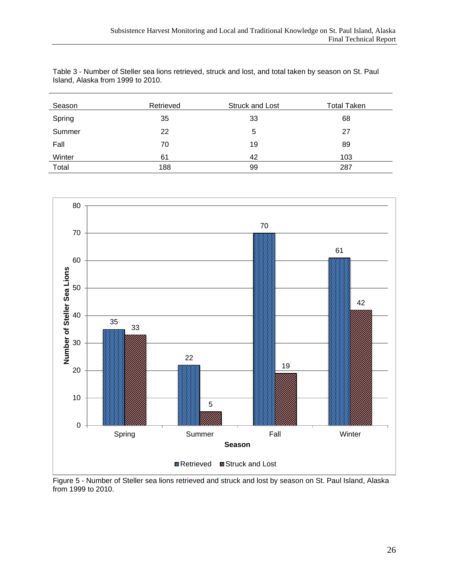Table 3 - Number of Steller sea lions retrieved, struck and lost, and total taken by season on St. Paul Island, Alaska from 1999 to 2010.

| Season | Retrieved | Struck and Lost | <b>Total Taken</b> |
|--------|-----------|-----------------|--------------------|
| Spring | 35        | 33              | 68                 |
| Summer | 22        | 5               | 27                 |
| Fall   | 70        | 19              | 89                 |
| Winter | 61        | 42              | 103                |
| Total  | 188       | 99              | 287                |



Figure 5 - Number of Steller sea lions retrieved and struck and lost by season on St. Paul Island, Alaska from 1999 to 2010.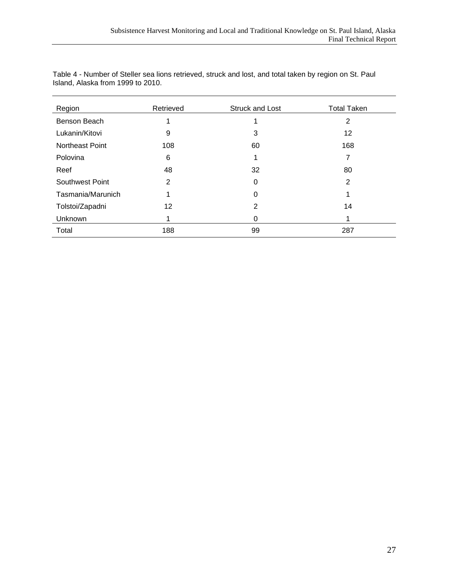| Region                 | Retrieved      | Struck and Lost | <b>Total Taken</b> |
|------------------------|----------------|-----------------|--------------------|
| Benson Beach           |                |                 | 2                  |
| Lukanin/Kitovi         | 9              | 3               | 12                 |
| <b>Northeast Point</b> | 108            | 60              | 168                |
| Polovina               | 6              | 1               | 7                  |
| Reef                   | 48             | 32              | 80                 |
| Southwest Point        | $\overline{2}$ | 0               | 2                  |
| Tasmania/Marunich      |                | 0               |                    |
| Tolstoi/Zapadni        | 12             | 2               | 14                 |
| Unknown                |                | 0               |                    |
| Total                  | 188            | 99              | 287                |

Table 4 - Number of Steller sea lions retrieved, struck and lost, and total taken by region on St. Paul Island, Alaska from 1999 to 2010.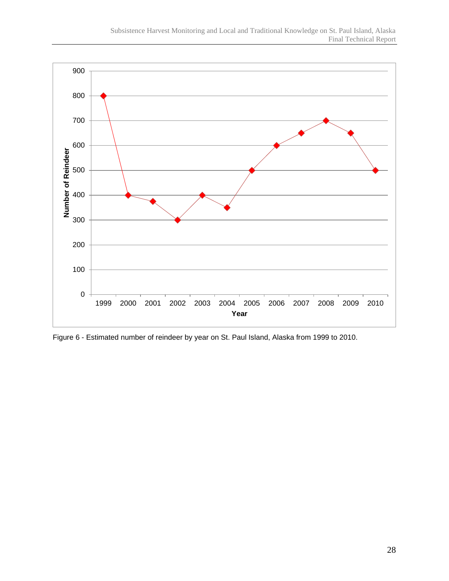

Figure 6 - Estimated number of reindeer by year on St. Paul Island, Alaska from 1999 to 2010.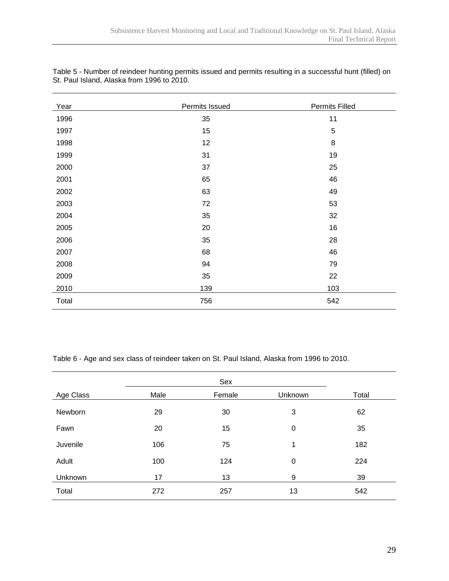| Year  | Permits Issued | Permits Filled |
|-------|----------------|----------------|
| 1996  | 35             | 11             |
| 1997  | 15             | 5              |
| 1998  | 12             | 8              |
| 1999  | 31             | 19             |
| 2000  | 37             | 25             |
| 2001  | 65             | 46             |
| 2002  | 63             | 49             |
| 2003  | 72             | 53             |
| 2004  | 35             | 32             |
| 2005  | 20             | 16             |
| 2006  | 35             | 28             |
| 2007  | 68             | 46             |
| 2008  | 94             | 79             |
| 2009  | 35             | 22             |
| 2010  | 139            | 103            |
| Total | 756            | 542            |

Table 5 - Number of reindeer hunting permits issued and permits resulting in a successful hunt (filled) on St. Paul Island, Alaska from 1996 to 2010.

Table 6 - Age and sex class of reindeer taken on St. Paul Island, Alaska from 1996 to 2010.

| Age Class | Male | Female | Unknown     | Total |
|-----------|------|--------|-------------|-------|
| Newborn   | 29   | 30     | 3           | 62    |
| Fawn      | 20   | 15     | $\mathbf 0$ | 35    |
| Juvenile  | 106  | 75     | 1           | 182   |
| Adult     | 100  | 124    | $\mathbf 0$ | 224   |
| Unknown   | 17   | 13     | 9           | 39    |
| Total     | 272  | 257    | 13          | 542   |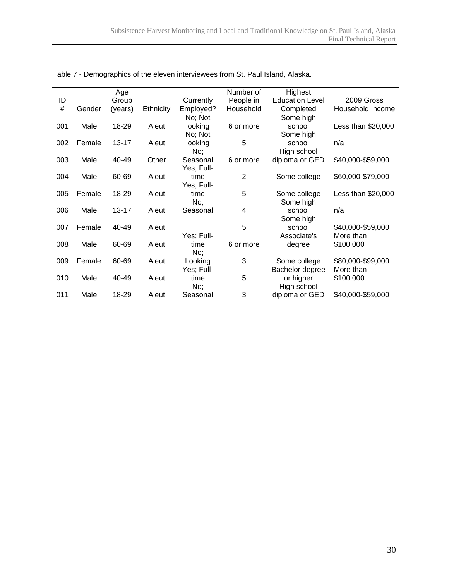|      |        | Age       |           |            | Number of      | Highest                |                    |
|------|--------|-----------|-----------|------------|----------------|------------------------|--------------------|
| ID   |        | Group     |           | Currently  | People in      | <b>Education Level</b> | 2009 Gross         |
| $\#$ | Gender | (years)   | Ethnicity | Employed?  | Household      | Completed              | Household Income   |
|      |        |           |           | No; Not    |                | Some high              |                    |
| 001  | Male   | 18-29     | Aleut     | looking    | 6 or more      | school                 | Less than \$20,000 |
|      |        |           |           | No; Not    |                | Some high              |                    |
| 002  | Female | $13 - 17$ | Aleut     | looking    | 5              | school                 | n/a                |
|      |        |           |           | No;        |                | High school            |                    |
| 003  | Male   | 40-49     | Other     | Seasonal   | 6 or more      | diploma or GED         | \$40,000-\$59,000  |
|      |        |           |           | Yes; Full- |                |                        |                    |
| 004  | Male   | 60-69     | Aleut     | time       | $\overline{2}$ | Some college           | \$60,000-\$79,000  |
|      |        |           |           | Yes; Full- |                |                        |                    |
| 005  | Female | 18-29     | Aleut     | time       | 5              | Some college           | Less than \$20,000 |
|      |        |           |           | No;        |                | Some high              |                    |
| 006  | Male   | $13 - 17$ | Aleut     | Seasonal   | 4              | school                 | n/a                |
|      |        |           |           |            |                | Some high              |                    |
| 007  | Female | 40-49     | Aleut     |            | 5              | school                 | \$40,000-\$59,000  |
|      |        |           |           | Yes; Full- |                | Associate's            | More than          |
| 008  | Male   | 60-69     | Aleut     | time       | 6 or more      | degree                 | \$100,000          |
|      |        |           |           | No;        |                |                        |                    |
| 009  | Female | 60-69     | Aleut     | Looking    | 3              | Some college           | \$80,000-\$99,000  |
|      |        |           |           | Yes; Full- |                | Bachelor degree        | More than          |
| 010  | Male   | 40-49     | Aleut     | time       | 5              | or higher              | \$100,000          |
|      |        |           |           | No;        |                | High school            |                    |
| 011  | Male   | 18-29     | Aleut     | Seasonal   | 3              | diploma or GED         | \$40,000-\$59,000  |

Table 7 - Demographics of the eleven interviewees from St. Paul Island, Alaska.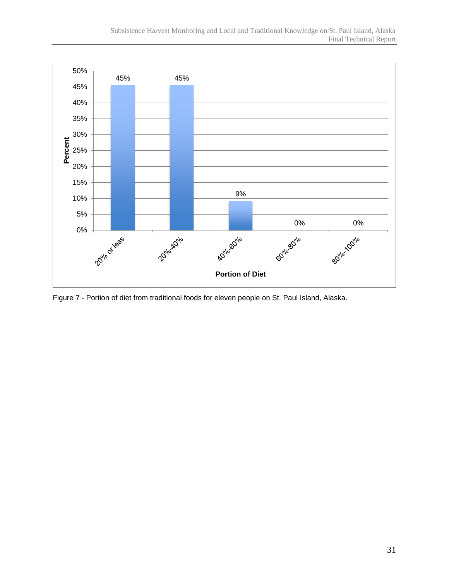

Figure 7 - Portion of diet from traditional foods for eleven people on St. Paul Island, Alaska.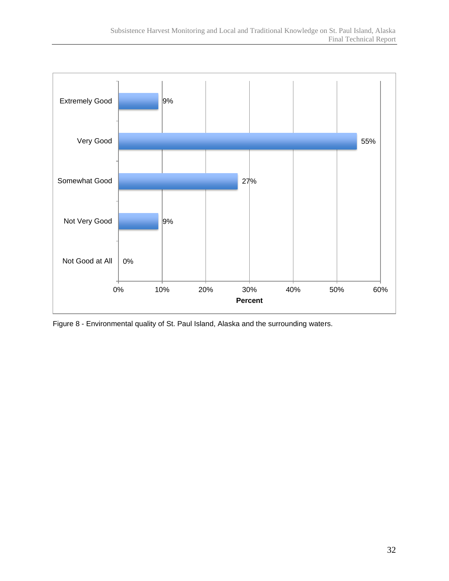

Figure 8 - Environmental quality of St. Paul Island, Alaska and the surrounding waters.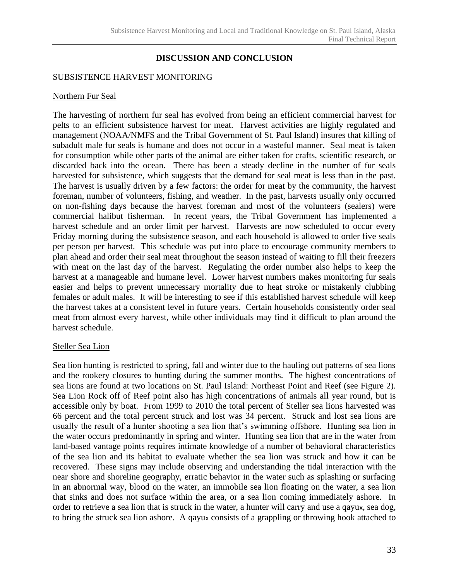# **DISCUSSION AND CONCLUSION**

## SUBSISTENCE HARVEST MONITORING

#### Northern Fur Seal

The harvesting of northern fur seal has evolved from being an efficient commercial harvest for pelts to an efficient subsistence harvest for meat. Harvest activities are highly regulated and management (NOAA/NMFS and the Tribal Government of St. Paul Island) insures that killing of subadult male fur seals is humane and does not occur in a wasteful manner. Seal meat is taken for consumption while other parts of the animal are either taken for crafts, scientific research, or discarded back into the ocean. There has been a steady decline in the number of fur seals harvested for subsistence, which suggests that the demand for seal meat is less than in the past. The harvest is usually driven by a few factors: the order for meat by the community, the harvest foreman, number of volunteers, fishing, and weather. In the past, harvests usually only occurred on non-fishing days because the harvest foreman and most of the volunteers (sealers) were commercial halibut fisherman. In recent years, the Tribal Government has implemented a harvest schedule and an order limit per harvest. Harvests are now scheduled to occur every Friday morning during the subsistence season, and each household is allowed to order five seals per person per harvest. This schedule was put into place to encourage community members to plan ahead and order their seal meat throughout the season instead of waiting to fill their freezers with meat on the last day of the harvest. Regulating the order number also helps to keep the harvest at a manageable and humane level. Lower harvest numbers makes monitoring fur seals easier and helps to prevent unnecessary mortality due to heat stroke or mistakenly clubbing females or adult males. It will be interesting to see if this established harvest schedule will keep the harvest takes at a consistent level in future years. Certain households consistently order seal meat from almost every harvest, while other individuals may find it difficult to plan around the harvest schedule.

## Steller Sea Lion

Sea lion hunting is restricted to spring, fall and winter due to the hauling out patterns of sea lions and the rookery closures to hunting during the summer months. The highest concentrations of sea lions are found at two locations on St. Paul Island: Northeast Point and Reef (see Figure 2). Sea Lion Rock off of Reef point also has high concentrations of animals all year round, but is accessible only by boat. From 1999 to 2010 the total percent of Steller sea lions harvested was 66 percent and the total percent struck and lost was 34 percent. Struck and lost sea lions are usually the result of a hunter shooting a sea lion that's swimming offshore. Hunting sea lion in the water occurs predominantly in spring and winter. Hunting sea lion that are in the water from land-based vantage points requires intimate knowledge of a number of behavioral characteristics of the sea lion and its habitat to evaluate whether the sea lion was struck and how it can be recovered. These signs may include observing and understanding the tidal interaction with the near shore and shoreline geography, erratic behavior in the water such as splashing or surfacing in an abnormal way, blood on the water, an immobile sea lion floating on the water, a sea lion that sinks and does not surface within the area, or a sea lion coming immediately ashore. In order to retrieve a sea lion that is struck in the water, a hunter will carry and use a qayux, sea dog, to bring the struck sea lion ashore. A qayux consists of a grappling or throwing hook attached to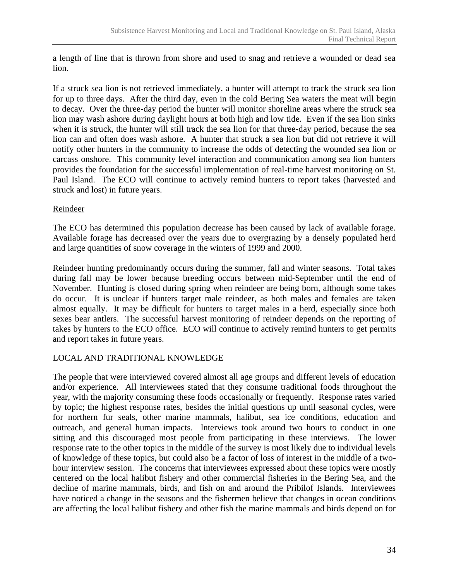a length of line that is thrown from shore and used to snag and retrieve a wounded or dead sea lion.

If a struck sea lion is not retrieved immediately, a hunter will attempt to track the struck sea lion for up to three days. After the third day, even in the cold Bering Sea waters the meat will begin to decay. Over the three-day period the hunter will monitor shoreline areas where the struck sea lion may wash ashore during daylight hours at both high and low tide. Even if the sea lion sinks when it is struck, the hunter will still track the sea lion for that three-day period, because the sea lion can and often does wash ashore. A hunter that struck a sea lion but did not retrieve it will notify other hunters in the community to increase the odds of detecting the wounded sea lion or carcass onshore. This community level interaction and communication among sea lion hunters provides the foundation for the successful implementation of real-time harvest monitoring on St. Paul Island. The ECO will continue to actively remind hunters to report takes (harvested and struck and lost) in future years.

# Reindeer

The ECO has determined this population decrease has been caused by lack of available forage. Available forage has decreased over the years due to overgrazing by a densely populated herd and large quantities of snow coverage in the winters of 1999 and 2000.

Reindeer hunting predominantly occurs during the summer, fall and winter seasons. Total takes during fall may be lower because breeding occurs between mid-September until the end of November. Hunting is closed during spring when reindeer are being born, although some takes do occur. It is unclear if hunters target male reindeer, as both males and females are taken almost equally. It may be difficult for hunters to target males in a herd, especially since both sexes bear antlers. The successful harvest monitoring of reindeer depends on the reporting of takes by hunters to the ECO office. ECO will continue to actively remind hunters to get permits and report takes in future years.

# LOCAL AND TRADITIONAL KNOWLEDGE

The people that were interviewed covered almost all age groups and different levels of education and/or experience. All interviewees stated that they consume traditional foods throughout the year, with the majority consuming these foods occasionally or frequently. Response rates varied by topic; the highest response rates, besides the initial questions up until seasonal cycles, were for northern fur seals, other marine mammals, halibut, sea ice conditions, education and outreach, and general human impacts. Interviews took around two hours to conduct in one sitting and this discouraged most people from participating in these interviews. The lower response rate to the other topics in the middle of the survey is most likely due to individual levels of knowledge of these topics, but could also be a factor of loss of interest in the middle of a twohour interview session. The concerns that interviewees expressed about these topics were mostly centered on the local halibut fishery and other commercial fisheries in the Bering Sea, and the decline of marine mammals, birds, and fish on and around the Pribilof Islands. Interviewees have noticed a change in the seasons and the fishermen believe that changes in ocean conditions are affecting the local halibut fishery and other fish the marine mammals and birds depend on for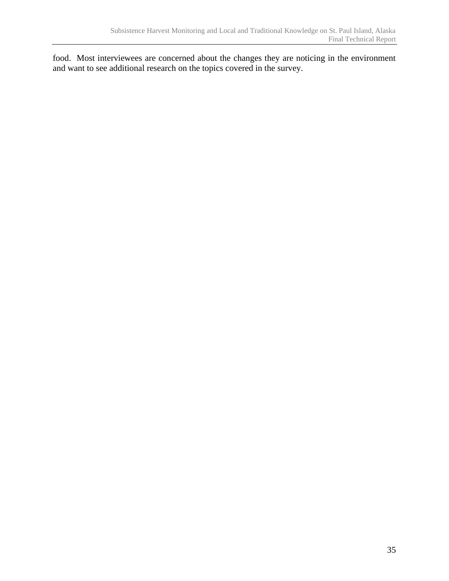food. Most interviewees are concerned about the changes they are noticing in the environment and want to see additional research on the topics covered in the survey.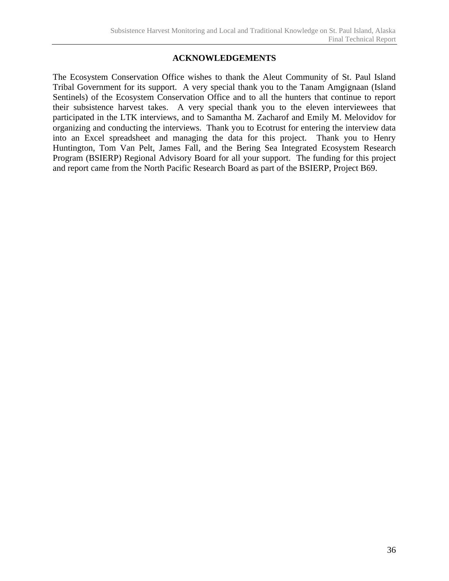# **ACKNOWLEDGEMENTS**

The Ecosystem Conservation Office wishes to thank the Aleut Community of St. Paul Island Tribal Government for its support. A very special thank you to the Tanam Amgignaan (Island Sentinels) of the Ecosystem Conservation Office and to all the hunters that continue to report their subsistence harvest takes. A very special thank you to the eleven interviewees that participated in the LTK interviews, and to Samantha M. Zacharof and Emily M. Melovidov for organizing and conducting the interviews. Thank you to Ecotrust for entering the interview data into an Excel spreadsheet and managing the data for this project. Thank you to Henry Huntington, Tom Van Pelt, James Fall, and the Bering Sea Integrated Ecosystem Research Program (BSIERP) Regional Advisory Board for all your support. The funding for this project and report came from the North Pacific Research Board as part of the BSIERP, Project B69.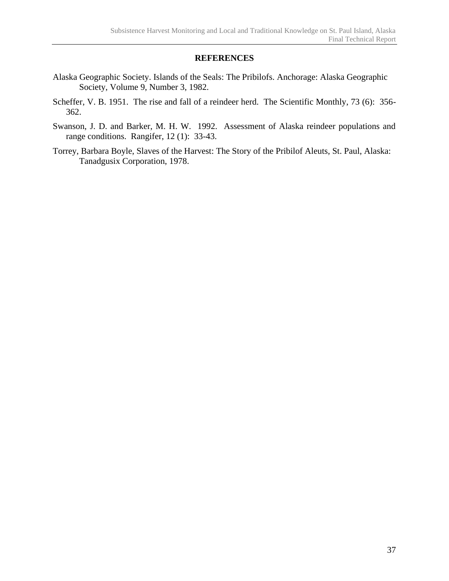## **REFERENCES**

- Alaska Geographic Society. Islands of the Seals: The Pribilofs. Anchorage: Alaska Geographic Society, Volume 9, Number 3, 1982.
- Scheffer, V. B. 1951. The rise and fall of a reindeer herd. The Scientific Monthly, 73 (6): 356- 362.
- Swanson, J. D. and Barker, M. H. W. 1992. Assessment of Alaska reindeer populations and range conditions. Rangifer, 12 (1): 33-43.
- Torrey, Barbara Boyle, Slaves of the Harvest: The Story of the Pribilof Aleuts, St. Paul, Alaska: Tanadgusix Corporation, 1978.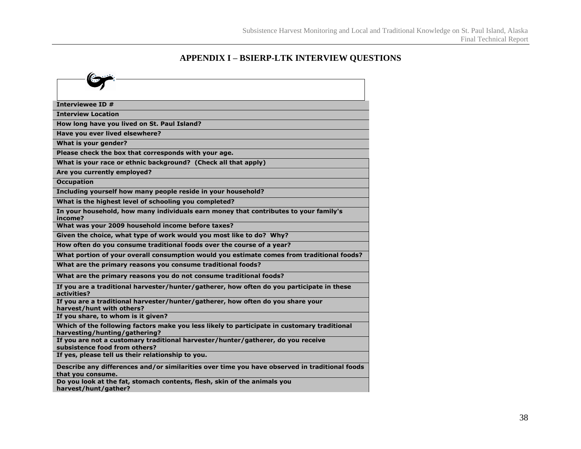# **APPENDIX I – BSIERP-LTK INTERVIEW QUESTIONS**

| Interviewee ID #                                                                                                             |
|------------------------------------------------------------------------------------------------------------------------------|
| <b>Interview Location</b>                                                                                                    |
| How long have you lived on St. Paul Island?                                                                                  |
| Have you ever lived elsewhere?                                                                                               |
| What is your gender?                                                                                                         |
| Please check the box that corresponds with your age.                                                                         |
| What is your race or ethnic background? (Check all that apply)                                                               |
| Are you currently employed?                                                                                                  |
| <b>Occupation</b>                                                                                                            |
| Including yourself how many people reside in your household?                                                                 |
| What is the highest level of schooling you completed?                                                                        |
| In your household, how many individuals earn money that contributes to your family's<br>income?                              |
| What was your 2009 household income before taxes?                                                                            |
| Given the choice, what type of work would you most like to do? Why?                                                          |
| How often do you consume traditional foods over the course of a year?                                                        |
| What portion of your overall consumption would you estimate comes from traditional foods?                                    |
| What are the primary reasons you consume traditional foods?                                                                  |
| What are the primary reasons you do not consume traditional foods?                                                           |
| If you are a traditional harvester/hunter/gatherer, how often do you participate in these<br>activities?                     |
| If you are a traditional harvester/hunter/gatherer, how often do you share your<br>harvest/hunt with others?                 |
| If you share, to whom is it given?                                                                                           |
| Which of the following factors make you less likely to participate in customary traditional<br>harvesting/hunting/gathering? |
| If you are not a customary traditional harvester/hunter/gatherer, do you receive                                             |
| subsistence food from others?<br>If yes, please tell us their relationship to you.                                           |
|                                                                                                                              |
| Describe any differences and/or similarities over time you have observed in traditional foods<br>that you consume.           |
| Do you look at the fat, stomach contents, flesh, skin of the animals you                                                     |
| harvest/hunt/gather?                                                                                                         |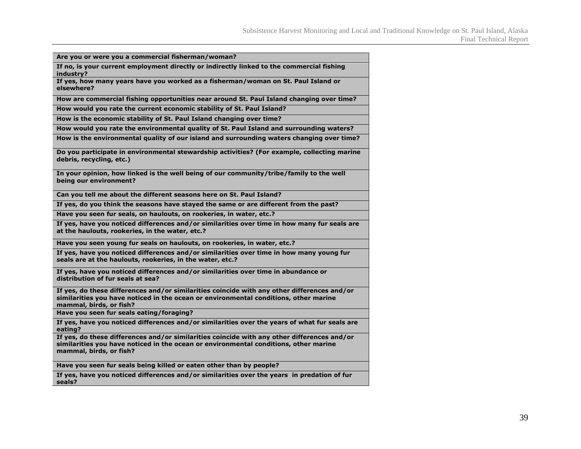| Are you or were you a commercial fisherman/woman?                                                                                                                                                              |
|----------------------------------------------------------------------------------------------------------------------------------------------------------------------------------------------------------------|
| If no, is your current employment directly or indirectly linked to the commercial fishing<br>industry?                                                                                                         |
| If yes, how many years have you worked as a fisherman/woman on St. Paul Island or<br>elsewhere?                                                                                                                |
| How are commercial fishing opportunities near around St. Paul Island changing over time?                                                                                                                       |
| How would you rate the current economic stability of St. Paul Island?                                                                                                                                          |
| How is the economic stability of St. Paul Island changing over time?                                                                                                                                           |
| How would you rate the environmental quality of St. Paul Island and surrounding waters?                                                                                                                        |
| How is the environmental quality of our island and surrounding waters changing over time?                                                                                                                      |
| Do you participate in environmental stewardship activities? (For example, collecting marine<br>debris, recycling, etc.)                                                                                        |
| In your opinion, how linked is the well being of our community/tribe/family to the well<br>being our environment?                                                                                              |
| Can you tell me about the different seasons here on St. Paul Island?                                                                                                                                           |
| If yes, do you think the seasons have stayed the same or are different from the past?                                                                                                                          |
| Have you seen fur seals, on haulouts, on rookeries, in water, etc.?                                                                                                                                            |
| If yes, have you noticed differences and/or similarities over time in how many fur seals are<br>at the haulouts, rookeries, in the water, etc.?                                                                |
| Have you seen young fur seals on haulouts, on rookeries, in water, etc.?                                                                                                                                       |
| If yes, have you noticed differences and/or similarities over time in how many young fur<br>seals are at the haulouts, rookeries, in the water, etc.?                                                          |
| If yes, have you noticed differences and/or similarities over time in abundance or<br>distribution of fur seals at sea?                                                                                        |
| If yes, do these differences and/or similarities coincide with any other differences and/or<br>similarities you have noticed in the ocean or environmental conditions, other marine<br>mammal, birds, or fish? |
| Have you seen fur seals eating/foraging?                                                                                                                                                                       |
| If yes, have you noticed differences and/or similarities over the years of what fur seals are<br>eating?                                                                                                       |
| If yes, do these differences and/or similarities coincide with any other differences and/or<br>similarities you have noticed in the ocean or environmental conditions, other marine<br>mammal, birds, or fish? |
| Have you seen fur seals being killed or eaten other than by people?                                                                                                                                            |
| If yes, have you noticed differences and/or similarities over the years in predation of fur<br>seals?                                                                                                          |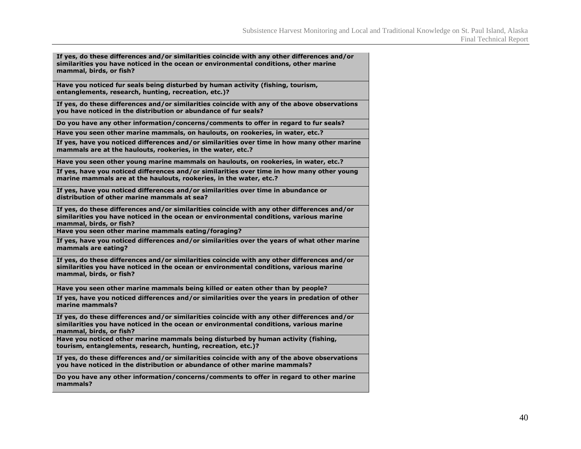| If yes, do these differences and/or similarities coincide with any other differences and/or<br>similarities you have noticed in the ocean or environmental conditions, other marine<br>mammal, birds, or fish?   |
|------------------------------------------------------------------------------------------------------------------------------------------------------------------------------------------------------------------|
| Have you noticed fur seals being disturbed by human activity (fishing, tourism,<br>entanglements, research, hunting, recreation, etc.)?                                                                          |
| If yes, do these differences and/or similarities coincide with any of the above observations<br>you have noticed in the distribution or abundance of fur seals?                                                  |
| Do you have any other information/concerns/comments to offer in regard to fur seals?                                                                                                                             |
| Have you seen other marine mammals, on haulouts, on rookeries, in water, etc.?                                                                                                                                   |
| If yes, have you noticed differences and/or similarities over time in how many other marine<br>mammals are at the haulouts, rookeries, in the water, etc.?                                                       |
| Have you seen other young marine mammals on haulouts, on rookeries, in water, etc.?                                                                                                                              |
| If yes, have you noticed differences and/or similarities over time in how many other young<br>marine mammals are at the haulouts, rookeries, in the water, etc.?                                                 |
| If yes, have you noticed differences and/or similarities over time in abundance or<br>distribution of other marine mammals at sea?                                                                               |
| If yes, do these differences and/or similarities coincide with any other differences and/or<br>similarities you have noticed in the ocean or environmental conditions, various marine<br>mammal, birds, or fish? |
| Have you seen other marine mammals eating/foraging?                                                                                                                                                              |
| If yes, have you noticed differences and/or similarities over the years of what other marine<br>mammals are eating?                                                                                              |
| If yes, do these differences and/or similarities coincide with any other differences and/or<br>similarities you have noticed in the ocean or environmental conditions, various marine<br>mammal, birds, or fish? |
| Have you seen other marine mammals being killed or eaten other than by people?                                                                                                                                   |
| If yes, have you noticed differences and/or similarities over the years in predation of other<br>marine mammals?                                                                                                 |
| If yes, do these differences and/or similarities coincide with any other differences and/or<br>similarities you have noticed in the ocean or environmental conditions, various marine<br>mammal, birds, or fish? |
| Have you noticed other marine mammals being disturbed by human activity (fishing,<br>tourism, entanglements, research, hunting, recreation, etc.)?                                                               |
| If yes, do these differences and/or similarities coincide with any of the above observations<br>you have noticed in the distribution or abundance of other marine mammals?                                       |
| Do you have any other information/concerns/comments to offer in regard to other marine<br>mammals?                                                                                                               |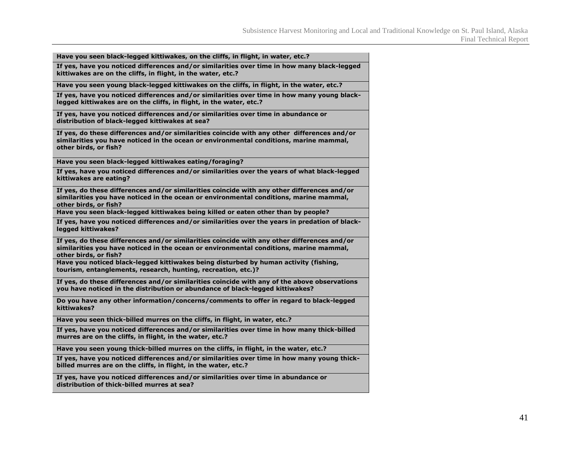| Have you seen black-legged kittiwakes, on the cliffs, in flight, in water, etc.?                                                                                                                               |
|----------------------------------------------------------------------------------------------------------------------------------------------------------------------------------------------------------------|
| If yes, have you noticed differences and/or similarities over time in how many black-legged<br>kittiwakes are on the cliffs, in flight, in the water, etc.?                                                    |
| Have you seen young black-legged kittiwakes on the cliffs, in flight, in the water, etc.?                                                                                                                      |
| If yes, have you noticed differences and/or similarities over time in how many young black-<br>legged kittiwakes are on the cliffs, in flight, in the water, etc.?                                             |
| If yes, have you noticed differences and/or similarities over time in abundance or<br>distribution of black-legged kittiwakes at sea?                                                                          |
| If yes, do these differences and/or similarities coincide with any other differences and/or<br>similarities you have noticed in the ocean or environmental conditions, marine mammal,<br>other birds, or fish? |
| Have you seen black-legged kittiwakes eating/foraging?                                                                                                                                                         |
| If yes, have you noticed differences and/or similarities over the years of what black-legged<br>kittiwakes are eating?                                                                                         |
| If yes, do these differences and/or similarities coincide with any other differences and/or<br>similarities you have noticed in the ocean or environmental conditions, marine mammal,<br>other birds, or fish? |
| Have you seen black-legged kittiwakes being killed or eaten other than by people?                                                                                                                              |
| If yes, have you noticed differences and/or similarities over the years in predation of black-<br>legged kittiwakes?                                                                                           |
| If yes, do these differences and/or similarities coincide with any other differences and/or<br>similarities you have noticed in the ocean or environmental conditions, marine mammal,<br>other birds, or fish? |
| Have you noticed black-legged kittiwakes being disturbed by human activity (fishing,<br>tourism, entanglements, research, hunting, recreation, etc.)?                                                          |
| If yes, do these differences and/or similarities coincide with any of the above observations<br>you have noticed in the distribution or abundance of black-legged kittiwakes?                                  |
| Do you have any other information/concerns/comments to offer in regard to black-legged<br>kittiwakes?                                                                                                          |
| Have you seen thick-billed murres on the cliffs, in flight, in water, etc.?                                                                                                                                    |
| If yes, have you noticed differences and/or similarities over time in how many thick-billed<br>murres are on the cliffs, in flight, in the water, etc.?                                                        |
| Have you seen young thick-billed murres on the cliffs, in flight, in the water, etc.?                                                                                                                          |
| If yes, have you noticed differences and/or similarities over time in how many young thick-<br>billed murres are on the cliffs, in flight, in the water, etc.?                                                 |
| If yes, have you noticed differences and/or similarities over time in abundance or<br>distribution of thick-billed murres at sea?                                                                              |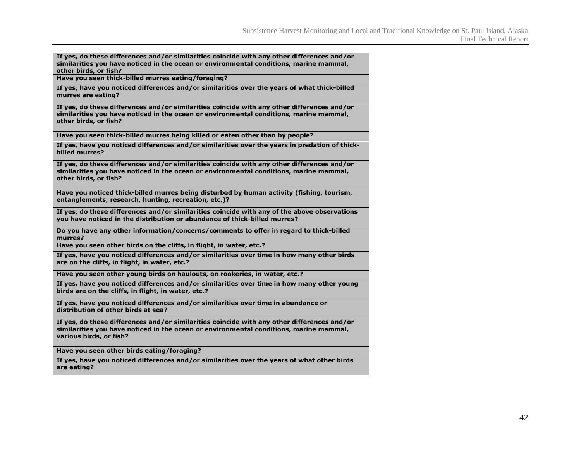| If yes, do these differences and/or similarities coincide with any other differences and/or<br>similarities you have noticed in the ocean or environmental conditions, marine mammal,<br>other birds, or fish?   |
|------------------------------------------------------------------------------------------------------------------------------------------------------------------------------------------------------------------|
| Have you seen thick-billed murres eating/foraging?                                                                                                                                                               |
| If yes, have you noticed differences and/or similarities over the years of what thick-billed<br>murres are eating?                                                                                               |
| If yes, do these differences and/or similarities coincide with any other differences and/or<br>similarities you have noticed in the ocean or environmental conditions, marine mammal,<br>other birds, or fish?   |
| Have you seen thick-billed murres being killed or eaten other than by people?                                                                                                                                    |
| If yes, have you noticed differences and/or similarities over the years in predation of thick-<br>billed murres?                                                                                                 |
| If yes, do these differences and/or similarities coincide with any other differences and/or<br>similarities you have noticed in the ocean or environmental conditions, marine mammal,<br>other birds, or fish?   |
| Have you noticed thick-billed murres being disturbed by human activity (fishing, tourism,<br>entanglements, research, hunting, recreation, etc.)?                                                                |
| If yes, do these differences and/or similarities coincide with any of the above observations<br>you have noticed in the distribution or abundance of thick-billed murres?                                        |
| Do you have any other information/concerns/comments to offer in regard to thick-billed<br>murres?                                                                                                                |
| Have you seen other birds on the cliffs, in flight, in water, etc.?                                                                                                                                              |
| If yes, have you noticed differences and/or similarities over time in how many other birds<br>are on the cliffs, in flight, in water, etc.?                                                                      |
| Have you seen other young birds on haulouts, on rookeries, in water, etc.?                                                                                                                                       |
| If yes, have you noticed differences and/or similarities over time in how many other young<br>birds are on the cliffs, in flight, in water, etc.?                                                                |
| If yes, have you noticed differences and/or similarities over time in abundance or<br>distribution of other birds at sea?                                                                                        |
| If yes, do these differences and/or similarities coincide with any other differences and/or<br>similarities you have noticed in the ocean or environmental conditions, marine mammal,<br>various birds, or fish? |
| Have you seen other birds eating/foraging?                                                                                                                                                                       |
| If yes, have you noticed differences and/or similarities over the years of what other birds<br>are eating?                                                                                                       |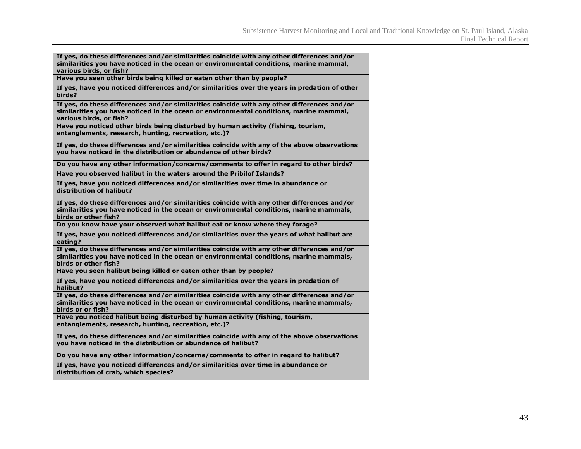| If yes, do these differences and/or similarities coincide with any other differences and/or<br>similarities you have noticed in the ocean or environmental conditions, marine mammal,<br>various birds, or fish? |
|------------------------------------------------------------------------------------------------------------------------------------------------------------------------------------------------------------------|
| Have you seen other birds being killed or eaten other than by people?                                                                                                                                            |
| If yes, have you noticed differences and/or similarities over the years in predation of other<br>birds?                                                                                                          |
| If yes, do these differences and/or similarities coincide with any other differences and/or<br>similarities you have noticed in the ocean or environmental conditions, marine mammal,<br>various birds, or fish? |
| Have you noticed other birds being disturbed by human activity (fishing, tourism,<br>entanglements, research, hunting, recreation, etc.)?                                                                        |
| If yes, do these differences and/or similarities coincide with any of the above observations<br>you have noticed in the distribution or abundance of other birds?                                                |
| Do you have any other information/concerns/comments to offer in regard to other birds?                                                                                                                           |
| Have you observed halibut in the waters around the Pribilof Islands?                                                                                                                                             |
| If yes, have you noticed differences and/or similarities over time in abundance or<br>distribution of halibut?                                                                                                   |
| If yes, do these differences and/or similarities coincide with any other differences and/or<br>similarities you have noticed in the ocean or environmental conditions, marine mammals,<br>birds or other fish?   |
| Do you know have your observed what halibut eat or know where they forage?                                                                                                                                       |
| If yes, have you noticed differences and/or similarities over the years of what halibut are<br>eating?                                                                                                           |
| If yes, do these differences and/or similarities coincide with any other differences and/or<br>similarities you have noticed in the ocean or environmental conditions, marine mammals,<br>birds or other fish?   |
| Have you seen halibut being killed or eaten other than by people?                                                                                                                                                |
| If yes, have you noticed differences and/or similarities over the years in predation of<br>halibut?                                                                                                              |
| If yes, do these differences and/or similarities coincide with any other differences and/or<br>similarities you have noticed in the ocean or environmental conditions, marine mammals,<br>birds or or fish?      |
| Have you noticed halibut being disturbed by human activity (fishing, tourism,<br>entanglements, research, hunting, recreation, etc.)?                                                                            |
| If yes, do these differences and/or similarities coincide with any of the above observations<br>you have noticed in the distribution or abundance of halibut?                                                    |
| Do you have any other information/concerns/comments to offer in regard to halibut?                                                                                                                               |
| If yes, have you noticed differences and/or similarities over time in abundance or<br>distribution of crab, which species?                                                                                       |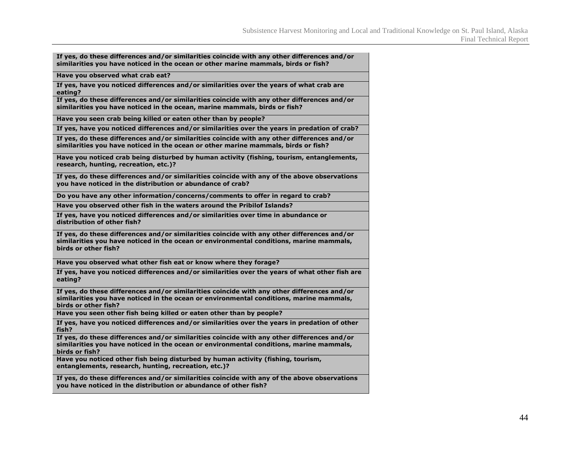| If yes, do these differences and/or similarities coincide with any other differences and/or<br>similarities you have noticed in the ocean or other marine mammals, birds or fish?                              |
|----------------------------------------------------------------------------------------------------------------------------------------------------------------------------------------------------------------|
| Have you observed what crab eat?                                                                                                                                                                               |
| If yes, have you noticed differences and/or similarities over the years of what crab are<br>eating?                                                                                                            |
| If yes, do these differences and/or similarities coincide with any other differences and/or<br>similarities you have noticed in the ocean, marine mammals, birds or fish?                                      |
| Have you seen crab being killed or eaten other than by people?                                                                                                                                                 |
| If yes, have you noticed differences and/or similarities over the years in predation of crab?                                                                                                                  |
| If yes, do these differences and/or similarities coincide with any other differences and/or<br>similarities you have noticed in the ocean or other marine mammals, birds or fish?                              |
| Have you noticed crab being disturbed by human activity (fishing, tourism, entanglements,<br>research, hunting, recreation, etc.)?                                                                             |
| If yes, do these differences and/or similarities coincide with any of the above observations<br>you have noticed in the distribution or abundance of crab?                                                     |
| Do you have any other information/concerns/comments to offer in regard to crab?                                                                                                                                |
| Have you observed other fish in the waters around the Pribilof Islands?                                                                                                                                        |
| If yes, have you noticed differences and/or similarities over time in abundance or<br>distribution of other fish?                                                                                              |
| If yes, do these differences and/or similarities coincide with any other differences and/or<br>similarities you have noticed in the ocean or environmental conditions, marine mammals,<br>birds or other fish? |
| Have you observed what other fish eat or know where they forage?                                                                                                                                               |
| If yes, have you noticed differences and/or similarities over the years of what other fish are<br>eating?                                                                                                      |
| If yes, do these differences and/or similarities coincide with any other differences and/or<br>similarities you have noticed in the ocean or environmental conditions, marine mammals,<br>birds or other fish? |
| Have you seen other fish being killed or eaten other than by people?                                                                                                                                           |
| If yes, have you noticed differences and/or similarities over the years in predation of other<br>fish?                                                                                                         |
| If yes, do these differences and/or similarities coincide with any other differences and/or<br>similarities you have noticed in the ocean or environmental conditions, marine mammals,<br>birds or fish?       |
| Have you noticed other fish being disturbed by human activity (fishing, tourism,<br>entanglements, research, hunting, recreation, etc.)?                                                                       |
| If yes, do these differences and/or similarities coincide with any of the above observations<br>you have noticed in the distribution or abundance of other fish?                                               |